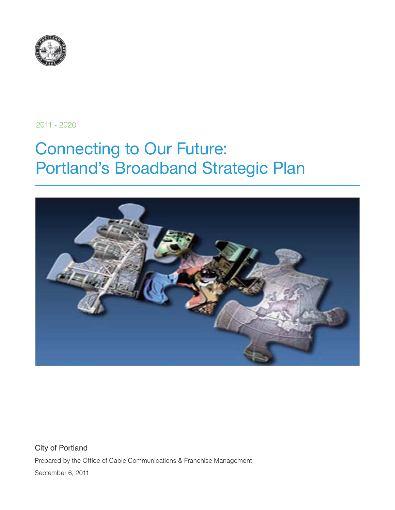

2011 - 2020

# Connecting to Our Future: Portland's Broadband Strategic Plan



City of Portland Prepared by the Office of Cable Communications & Franchise Management September 6, 2011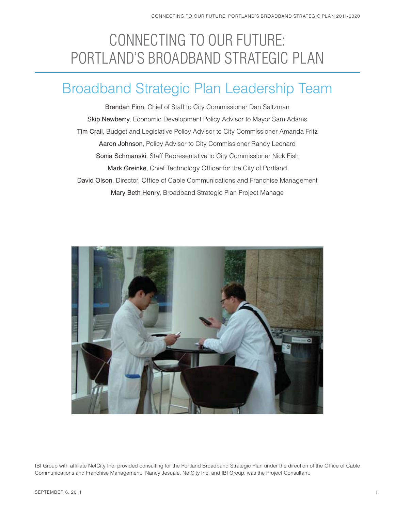# CONNECTING TO OUR FUTURE: PORTLAND'S BROADBAND STRATEGIC PLAN

# Broadband Strategic Plan Leadership Team

Brendan Finn, Chief of Staff to City Commissioner Dan Saltzman Skip Newberry, Economic Development Policy Advisor to Mayor Sam Adams Tim Crail, Budget and Legislative Policy Advisor to City Commissioner Amanda Fritz Aaron Johnson, Policy Advisor to City Commissioner Randy Leonard Sonia Schmanski, Staff Representative to City Commissioner Nick Fish Mark Greinke, Chief Technology Officer for the City of Portland David Olson, Director, Office of Cable Communications and Franchise Management Mary Beth Henry, Broadband Strategic Plan Project Manage



IBI Group with affiliate NetCity Inc. provided consulting for the Portland Broadband Strategic Plan under the direction of the Office of Cable Communications and Franchise Management. Nancy Jesuale, NetCity Inc. and IBI Group, was the Project Consultant.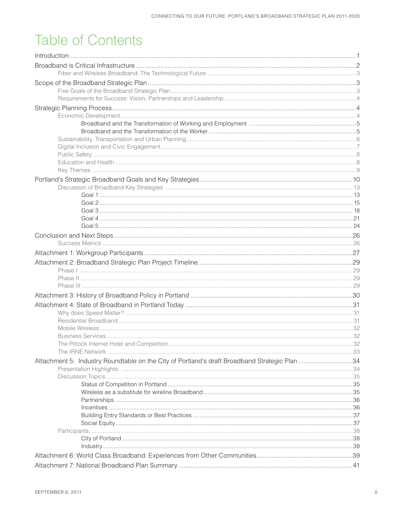# **Table of Contents**

| Attachment 5: Industry Roundtable on the City of Portland's draft Broadband Strategic Plan 34 |  |
|-----------------------------------------------------------------------------------------------|--|
|                                                                                               |  |
|                                                                                               |  |
|                                                                                               |  |
|                                                                                               |  |
|                                                                                               |  |
|                                                                                               |  |
|                                                                                               |  |
|                                                                                               |  |
|                                                                                               |  |
|                                                                                               |  |
|                                                                                               |  |
|                                                                                               |  |
|                                                                                               |  |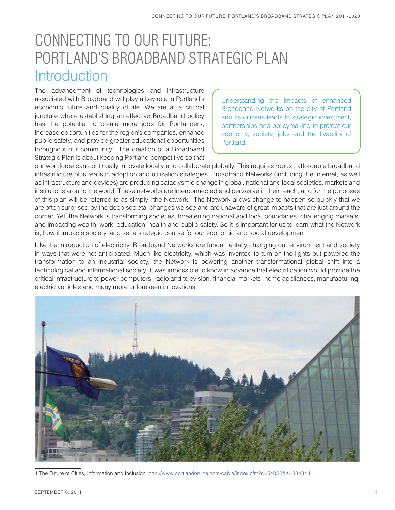# CONNECTING TO OUR FUTURE: PORTLAND'S BROADBAND STRATEGIC PLAN **Introduction**

The advancement of technologies and infrastructure associated with Broadband will play a key role in Portland's economic future and quality of life. We are at a critical juncture where establishing an effective Broadband policy has the potential to create more jobs for Portlanders, increase opportunities for the region's companies, enhance public safety, and provide greater educational opportunities throughout our community<sup>1</sup>. The creation of a Broadband Strategic Plan is about keeping Portland competitive so that

Understanding the impacts of enhanced Broadband Networks on the city of Portland and its citizens leads to strategic investment, partnerships and policymaking to protect our economy, society, jobs and the livability of Portland.

our workforce can continually innovate locally and collaborate globally. This requires robust, affordable broadband infrastructure plus realistic adoption and utilization strategies. Broadband Networks (including the Internet, as well as infrastructure and devices) are producing cataclysmic change in global, national and local societies, markets and institutions around the world. These networks are interconnected and pervasive in their reach, and for the purposes of this plan will be referred to as simply "the Network." The Network allows change to happen so quickly that we are often surprised by the deep societal changes we see and are unaware of great impacts that are just around the corner. Yet, the Network is transforming societies, threatening national and local boundaries, challenging markets, and impacting wealth, work, education, health and public safety. So it is important for us to learn what the Network is, how it impacts society, and set a strategic course for our economic and social development.

Like the introduction of electricity, Broadband Networks are fundamentally changing our environment and society in ways that were not anticipated. Much like electricity, which was invented to turn on the lights but powered the transformation to an industrial society, the Network is powering another transformational global shift into a technological and informational society. It was impossible to know in advance that electrification would provide the critical infrastructure to power computers, radio and television, financial markets, home appliances, manufacturing, electric vehicles and many more unforeseen innovations.



1 The Future of Cities, Information and Inclusion http://www.portlandonline.com/cable/index.cfm?c=54038&a=334344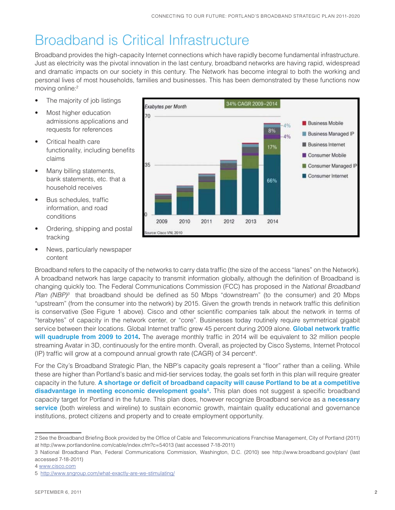# Broadband is Critical Infrastructure

Broadband provides the high-capacity Internet connections which have rapidly become fundamental infrastructure. Just as electricity was the pivotal innovation in the last century, broadband networks are having rapid, widespread and dramatic impacts on our society in this century. The Network has become integral to both the working and personal lives of most households, families and businesses. This has been demonstrated by these functions now moving online:2

- The majority of job listings
- Most higher education admissions applications and requests for references
- Critical health care functionality, including benefits claims
- Many billing statements, bank statements, etc. that a household receives
- Bus schedules, traffic information, and road conditions
- Ordering, shipping and postal tracking
- News, particularly newspaper content

Broadband refers to the capacity of the networks to carry data traffic (the size of the access "lanes" on the Network). A broadband network has large capacity to transmit information globally, although the definition of Broadband is changing quickly too. The Federal Communications Commission (FCC) has proposed in the National Broadband *Plan (NBP)*<sup>3</sup> that broadband should be defined as 50 Mbps "downstream" (to the consumer) and 20 Mbps "upstream" (from the consumer into the network) by 2015. Given the growth trends in network traffic this definition is conservative (See Figure 1 above). Cisco and other scientific companies talk about the network in terms of "terabytes" of capacity in the network center, or "core". Businesses today routinely require symmetrical gigabit service between their locations. Global Internet traffic grew 45 percent during 2009 alone. Global network traffic will quadruple from 2009 to 2014. The average monthly traffic in 2014 will be equivalent to 32 million people streaming Avatar in 3D, continuously for the entire month. Overall, as projected by Cisco Systems, Internet Protocol (IP) traffic will grow at a compound annual growth rate (CAGR) of 34 percent<sup>4</sup>.

For the City's Broadband Strategic Plan, the NBP's capacity goals represent a "floor" rather than a ceiling. While these are higher than Portland's basic and mid-tier services today, the goals set forth in this plan will require greater capacity in the future. A shortage or deficit of broadband capacity will cause Portland to be at a competitive **disadvantage in meeting economic development goals<sup>5</sup>. This plan does not suggest a specific broadband** capacity target for Portland in the future. This plan does, however recognize Broadband service as a **necessary service** (both wireless and wireline) to sustain economic growth, maintain quality educational and governance institutions, protect citizens and property and to create employment opportunity.



<sup>2</sup> See the Broadband Briefing Book provided by the Office of Cable and Telecommunications Franchise Management, City of Portland (2011) at http://www.portlandonline.com/cable/index.cfm?c=54013 (last accessed 7-18-2011)

<sup>3</sup> National Broadband Plan, Federal Communications Commission, Washington, D.C. (2010) see http://www.broadband.gov/plan/ (last accessed 7-18-2011)

<sup>4</sup> www.cisco.com

<sup>5</sup> http://www.sngroup.com/what-exactly-are-we-stimulating/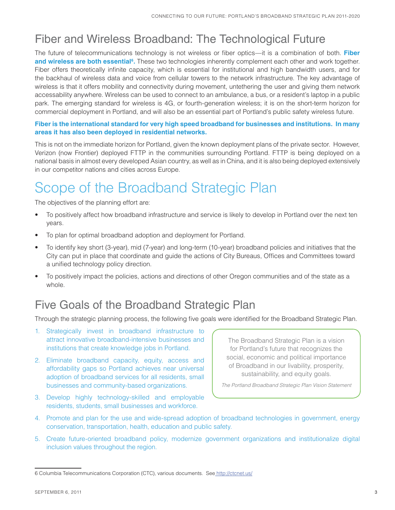### Fiber and Wireless Broadband: The Technological Future

The future of telecommunications technology is not wireless or fiber optics—it is a combination of both. Fiber **and wireless are both essential<sup>6</sup>**. These two technologies inherently complement each other and work together. Fiber offers theoretically infinite capacity, which is essential for institutional and high bandwidth users, and for the backhaul of wireless data and voice from cellular towers to the network infrastructure. The key advantage of wireless is that it offers mobility and connectivity during movement, untethering the user and giving them network accessability anywhere. Wireless can be used to connect to an ambulance, a bus, or a resident's laptop in a public park. The emerging standard for wireless is 4G, or fourth-generation wireless; it is on the short-term horizon for commercial deployment in Portland, and will also be an essential part of Portland's public safety wireless future.

#### **Fiber is the international standard for very high speed broadband for businesses and institutions. In many areas it has also been deployed in residential networks.**

This is not on the immediate horizon for Portland, given the known deployment plans of the private sector. However, Verizon (now Frontier) deployed FTTP in the communities surrounding Portland. FTTP is being deployed on a national basis in almost every developed Asian country, as well as in China, and it is also being deployed extensively in our competitor nations and cities across Europe.

# Scope of the Broadband Strategic Plan

The objectives of the planning effort are:

- To positively affect how broadband infrastructure and service is likely to develop in Portland over the next ten years.
- To plan for optimal broadband adoption and deployment for Portland.
- To identify key short (3-year), mid (7-year) and long-term (10-year) broadband policies and initiatives that the City can put in place that coordinate and guide the actions of City Bureaus, Offices and Committees toward a unified technology policy direction.
- To positively impact the policies, actions and directions of other Oregon communities and of the state as a whole.

## Five Goals of the Broadband Strategic Plan

Through the strategic planning process, the following five goals were identified for the Broadband Strategic Plan.

- 1. Strategically invest in broadband infrastructure to attract innovative broadband-intensive businesses and institutions that create knowledge jobs in Portland.
- 2. Eliminate broadband capacity, equity, access and affordability gaps so Portland achieves near universal adoption of broadband services for all residents, small businesses and community-based organizations.
- 3. Develop highly technology-skilled and employable residents, students, small businesses and workforce.

The Broadband Strategic Plan is a vision for Portland's future that recognizes the social, economic and political importance of Broadband in our livability, prosperity, sustainability, and equity goals.

The Portland Broadband Strategic Plan Vision Statement

- 4. Promote and plan for the use and wide-spread adoption of broadband technologies in government, energy conservation, transportation, health, education and public safety.
- 5. Create future-oriented broadband policy, modernize government organizations and institutionalize digital inclusion values throughout the region.

<sup>6</sup> Columbia Telecommunications Corporation (CTC), various documents. See http://ctcnet.us/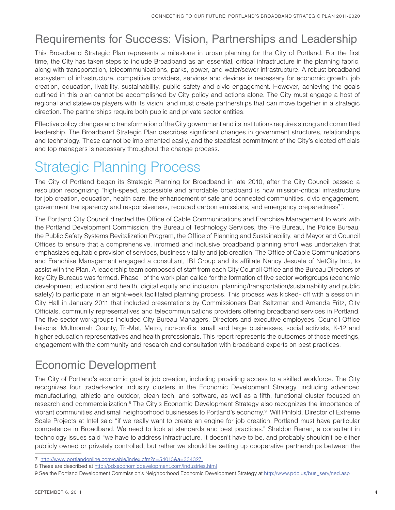## Requirements for Success: Vision, Partnerships and Leadership

This Broadband Strategic Plan represents a milestone in urban planning for the City of Portland. For the first time, the City has taken steps to include Broadband as an essential, critical infrastructure in the planning fabric, along with transportation, telecommunications, parks, power, and water/sewer infrastructure. A robust broadband ecosystem of infrastructure, competitive providers, services and devices is necessary for economic growth, job creation, education, livability, sustainability, public safety and civic engagement. However, achieving the goals outlined in this plan cannot be accomplished by City policy and actions alone. The City must engage a host of regional and statewide players with its vision, and must create partnerships that can move together in a strategic direction. The partnerships require both public and private sector entities.

Effective policy changes and transformation of the City government and its institutions requires strong and committed leadership. The Broadband Strategic Plan describes significant changes in government structures, relationships and technology. These cannot be implemented easily, and the steadfast commitment of the City's elected officials and top managers is necessary throughout the change process.

# Strategic Planning Process

The City of Portland began its Strategic Planning for Broadband in late 2010, after the City Council passed a resolution recognizing "high-speed, accessible and affordable broadband is now mission-critical infrastructure for job creation, education, health care, the enhancement of safe and connected communities, civic engagement, government transparency and responsiveness, reduced carbon emissions, and emergency preparedness<sup>7</sup>.

The Portland City Council directed the Office of Cable Communications and Franchise Management to work with the Portland Development Commission, the Bureau of Technology Services, the Fire Bureau, the Police Bureau, the Public Safety Systems Revitalization Program, the Office of Planning and Sustainability, and Mayor and Council Offices to ensure that a comprehensive, informed and inclusive broadband planning effort was undertaken that emphasizes equitable provision of services, business vitality and job creation. The Office of Cable Communications and Franchise Management engaged a consultant, IBI Group and its affiliate Nancy Jesuale of NetCity Inc., to assist with the Plan. A leadership team composed of staff from each City Council Office and the Bureau Directors of key City Bureaus was formed. Phase I of the work plan called for the formation of five sector workgroups (economic development, education and health, digital equity and inclusion, planning/transportation/sustainability and public safety) to participate in an eight-week facilitated planning process. This process was kicked- off with a session in City Hall in January 2011 that included presentations by Commissioners Dan Saltzman and Amanda Fritz, City Officials, community representatives and telecommunications providers offering broadband services in Portland. The five sector workgroups included City Bureau Managers, Directors and executive employees, Council Office liaisons, Multnomah County, Tri-Met, Metro, non-profits, small and large businesses, social activists, K-12 and higher education representatives and health professionals. This report represents the outcomes of those meetings, engagement with the community and research and consultation with broadband experts on best practices.

## Economic Development

The City of Portland's economic goal is job creation, including providing access to a skilled workforce. The City recognizes four traded-sector industry clusters in the Economic Development Strategy, including advanced manufacturing, athletic and outdoor, clean tech, and software, as well as a fifth, functional cluster focused on research and commercialization.<sup>8</sup> The City's Economic Development Strategy also recognizes the importance of vibrant communities and small neighborhood businesses to Portland's economy.9 Wilf Pinfold, Director of Extreme Scale Projects at Intel said "if we really want to create an engine for job creation, Portland must have particular competence in Broadband. We need to look at standards and best practices." Sheldon Renan, a consultant in technology issues said "we have to address infrastructure. It doesn't have to be, and probably shouldn't be either publicly owned or privately controlled, but rather we should be setting up cooperative partnerships between the

<sup>7</sup> http://www.portlandonline.com/cable/index.cfm?c=54013&a=334327

<sup>8</sup> These are described at http://pdxeconomicdevelopment.com/industries.html

<sup>9</sup> See the Portland Development Commission's Neighborhood Economic Development Strategy at http://www.pdc.us/bus\_serv/ned.asp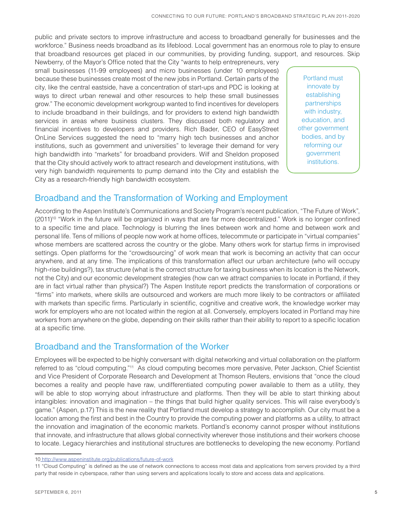public and private sectors to improve infrastructure and access to broadband generally for businesses and the workforce." Business needs broadband as its lifeblood. Local government has an enormous role to play to ensure that broadband resources get placed in our communities, by providing funding, support, and resources. Skip

Newberry, of the Mayor's Office noted that the City "wants to help entrepreneurs, very small businesses (11-99 employees) and micro businesses (under 10 employees) because these businesses create most of the new jobs in Portland. Certain parts of the city, like the central eastside, have a concentration of start-ups and PDC is looking at ways to direct urban renewal and other resources to help these small businesses grow." The economic development workgroup wanted to find incentives for developers to include broadband in their buildings, and for providers to extend high bandwidth services in areas where business clusters. They discussed both regulatory and financial incentives to developers and providers. Rich Bader, CEO of EasyStreet OnLine Services suggested the need to "marry high tech businesses and anchor institutions, such as government and universities" to leverage their demand for very high bandwidth into "markets" for broadband providers. Wilf and Sheldon proposed that the City should actively work to attract research and development institutions, with very high bandwidth requirements to pump demand into the City and establish the City as a research-friendly high bandwidth ecosystem.

Portland must innovate by establishing partnerships with industry, education, and other government bodies, and by reforming our government institutions.

### Broadband and the Transformation of Working and Employment

According to the Aspen Institute's Communications and Society Program's recent publication, "The Future of Work", (2011)<sup>10</sup> "Work in the future will be organized in ways that are far more decentralized." Work is no longer confined to a specific time and place. Technology is blurring the lines between work and home and between work and personal life. Tens of millions of people now work at home offices, telecommute or participate in "virtual companies" whose members are scattered across the country or the globe. Many others work for startup firms in improvised settings. Open platforms for the "crowdsourcing" of work mean that work is becoming an activity that can occur anywhere, and at any time. The implications of this transformation affect our urban architecture (who will occupy high-rise buildings?), tax structure (what is the correct structure for taxing business when its location is the Network, not the City) and our economic development strategies (how can we attract companies to locate in Portland, if they are in fact virtual rather than physical?) The Aspen Institute report predicts the transformation of corporations or "firms" into markets, where skills are outsourced and workers are much more likely to be contractors or affiliated with markets than specific firms. Particularly in scientific, cognitive and creative work, the knowledge worker may work for employers who are not located within the region at all. Conversely, employers located in Portland may hire workers from anywhere on the globe, depending on their skills rather than their ability to report to a specific location at a specific time.

### Broadband and the Transformation of the Worker

Employees will be expected to be highly conversant with digital networking and virtual collaboration on the platform referred to as "cloud computing."11 As cloud computing becomes more pervasive, Peter Jackson, Chief Scientist and Vice President of Corporate Research and Development at Thomson Reuters, envisions that "once the cloud becomes a reality and people have raw, undifferentiated computing power available to them as a utility, they will be able to stop worrying about infrastructure and platforms. Then they will be able to start thinking about intangibles: innovation and imagination – the things that build higher quality services. This will raise everybody's game." (Aspen, p.17) This is the new reality that Portland must develop a strategy to accomplish. Our city must be a location among the first and best in the Country to provide the computing power and platforms as a utility, to attract the innovation and imagination of the economic markets. Portland's economy cannot prosper without institutions that innovate, and infrastructure that allows global connectivity wherever those institutions and their workers choose to locate. Legacy hierarchies and institutional structures are bottlenecks to developing the new economy. Portland

<sup>10</sup> http://www.aspeninstitute.org/publications/future-of-work

<sup>11 &</sup>quot;Cloud Computing" is defined as the use of network connections to access most data and applications from servers provided by a third party that reside in cyberspace, rather than using servers and applications locally to store and access data and applications.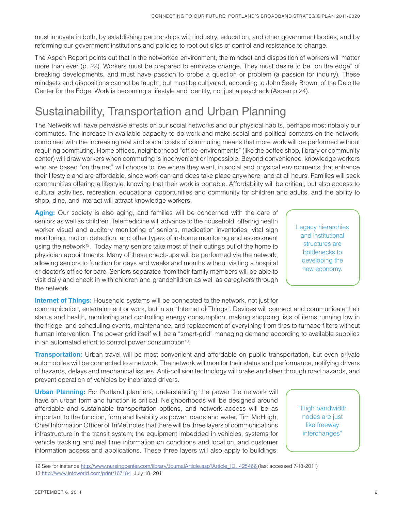must innovate in both, by establishing partnerships with industry, education, and other government bodies, and by reforming our government institutions and policies to root out silos of control and resistance to change.

The Aspen Report points out that in the networked environment, the mindset and disposition of workers will matter more than ever (p. 22). Workers must be prepared to embrace change. They must desire to be "on the edge" of breaking developments, and must have passion to probe a question or problem (a passion for inquiry). These mindsets and dispositions cannot be taught, but must be cultivated, according to John Seely Brown, of the Deloitte Center for the Edge. Work is becoming a lifestyle and identity, not just a paycheck (Aspen p.24).

## Sustainability, Transportation and Urban Planning

The Network will have pervasive effects on our social networks and our physical habits, perhaps most notably our commutes. The increase in available capacity to do work and make social and political contacts on the network, combined with the increasing real and social costs of commuting means that more work will be performed without requiring commuting. Home offices, neighborhood "office-environments" (like the coffee shop, library or community center) will draw workers when commuting is inconvenient or impossible. Beyond convenience, knowledge workers who are based "on the net" will choose to live where they want, in social and physical environments that enhance their lifestyle and are affordable, since work can and does take place anywhere, and at all hours. Families will seek communities offering a lifestyle, knowing that their work is portable. Affordability will be critical, but also access to cultural activities, recreation, educational opportunities and community for children and adults, and the ability to shop, dine, and interact will attract knowledge workers.

**Aging:** Our society is also aging, and families will be concerned with the care of seniors as well as children. Telemedicine will advance to the household, offering health worker visual and auditory monitoring of seniors, medication inventories, vital sign monitoring, motion detection, and other types of in-home monitoring and assessment using the network<sup>12</sup>. Today many seniors take most of their outings out of the home to physician appointments. Many of these check-ups will be performed via the network, allowing seniors to function for days and weeks and months without visiting a hospital or doctor's office for care. Seniors separated from their family members will be able to visit daily and check in with children and grandchildren as well as caregivers through the network.

#### **Internet of Things:** Household systems will be connected to the network, not just for

communication, entertainment or work, but in an "Internet of Things". Devices will connect and communicate their status and health, monitoring and controlling energy consumption, making shopping lists of items running low in the fridge, and scheduling events, maintenance, and replacement of everything from tires to furnace filters without human intervention. The power grid itself will be a "smart-grid" managing demand according to available supplies in an automated effort to control power consumption<sup>13</sup>.

**Transportation:** Urban travel will be most convenient and affordable on public transportation, but even private automobiles will be connected to a network. The network will monitor their status and performance, notifying drivers of hazards, delays and mechanical issues. Anti-collision technology will brake and steer through road hazards, and prevent operation of vehicles by inebriated drivers.

**Urban Planning:** For Portland planners, understanding the power the network will have on urban form and function is critical. Neighborhoods will be designed around affordable and sustainable transportation options, and network access will be as important to the function, form and livability as power, roads and water. Tim McHugh, Chief Information Officer of TriMet notes that there will be three layers of communications infrastructure in the transit system; the equipment imbedded in vehicles, systems for vehicle tracking and real time information on conditions and location, and customer information access and applications. These three layers will also apply to buildings, Legacy hierarchies and institutional structures are bottlenecks to developing the new economy.

<sup>&</sup>quot;High bandwidth nodes are just like freeway interchanges"

<sup>12</sup> See for instance http://www.nursingcenter.com/library/JournalArticle.asp?Article\_ID=425466 (last accessed 7-18-2011) 13 http://www.infoworld.com/print/167184 July 18, 2011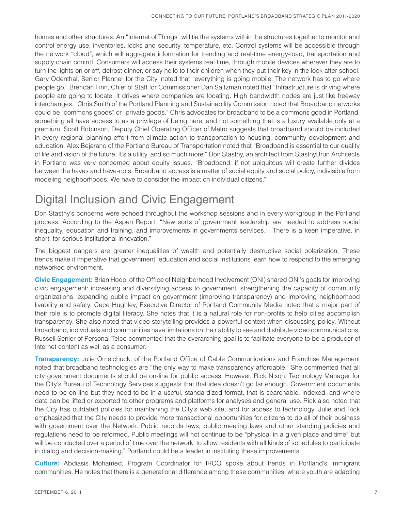homes and other structures. An "Internet of Things" will tie the systems within the structures together to monitor and control energy use, inventories, locks and security, temperature, etc. Control systems will be accessible through the network "cloud", which will aggregate information for trending and real-time energy-load, transportation and supply chain control. Consumers will access their systems real time, through mobile devices wherever they are to turn the lights on or off, defrost dinner, or say hello to their children when they put their key in the lock after school. Gary Odenthal, Senior Planner for the City, noted that "everything is going mobile. The network has to go where people go." Brendan Finn, Chief of Staff for Commissioner Dan Saltzman noted that "Infrastructure is driving where people are going to locate. It drives where companies are locating. High bandwidth nodes are just like freeway interchanges." Chris Smith of the Portland Planning and Sustainability Commission noted that Broadband networks could be "commons goods" or "private goods." Chris advocates for broadband to be a commons good in Portland, something all have access to as a privilege of being here, and not something that is a luxury available only at a premium. Scott Robinson, Deputy Chief Operating Officer of Metro suggests that broadband should be included in every regional planning effort from climate action to transportation to housing, community development and education. Alex Bejarano of the Portland Bureau of Transportation noted that "Broadband is essential to our quality of life and vision of the future. It's a utility, and so much more." Don Stastny, an architect from StastnyBrun Architects in Portland was very concerned about equity issues. "Broadband, if not ubiquitous will create further divides between the haves and have-nots. Broadband access is a matter of social equity and social policy, indivisible from modeling neighborhoods. We have to consider the impact on individual citizens."

## Digital Inclusion and Civic Engagement

Don Stastny's concerns were echoed throughout the workshop sessions and in every workgroup in the Portland process. According to the Aspen Report, "New sorts of government leadership are needed to address social inequality, education and training, and improvements in governments services… There is a keen imperative, in short, for serious institutional innovation."

The biggest dangers are greater inequalities of wealth and potentially destructive social polarization. These trends make it imperative that government, education and social institutions learn how to respond to the emerging networked environment.

**Civic Engagement:** Brian Hoop, of the Office of Neighborhood Involvement (ONI) shared ONI's goals for improving civic engagement: increasing and diversifying access to government, strengthening the capacity of community organizations, expanding public impact on government (improving transparency) and improving neighborhood livability and safety. Cece Hughley, Executive Director of Portland Community Media noted that a major part of their role is to promote digital literacy. She notes that it is a natural role for non-profits to help cities accomplish transparency. She also noted that video storytelling provides a powerful context when discussing policy. Without broadband, individuals and communities have limitations on their ability to see and distribute video communications. Russell Senior of Personal Telco commented that the overarching goal is to facilitate everyone to be a producer of Internet content as well as a consumer.

**Transparency:** Julie Omelchuck, of the Portland Office of Cable Communications and Franchise Management noted that broadband technologies are "the only way to make transparency affordable." She commented that all city government documents should be on-line for public access. However, Rick Nixon, Technology Manager for the City's Bureau of Technology Services suggests that that idea doesn't go far enough. Government documents need to be on-line but they need to be in a useful, standardized format, that is searchable, indexed, and where data can be lifted or exported to other programs and platforms for analyses and general use. Rick also noted that the City has outdated policies for maintaining the City's web site, and for access to technology. Julie and Rick emphasized that the City needs to provide more transactional opportunities for citizens to do all of their business with government over the Network. Public records laws, public meeting laws and other standing policies and regulations need to be reformed. Public meetings will not continue to be "physical in a given place and time" but will be conducted over a period of time over the network, to allow residents with all kinds of schedules to participate in dialog and decision-making." Portland could be a leader in instituting these improvements.

**Culture:** Abdiasis Mohamed, Program Coordinator for IRCO spoke about trends in Portland's immigrant communities. He notes that there is a generational difference among these communities, where youth are adapting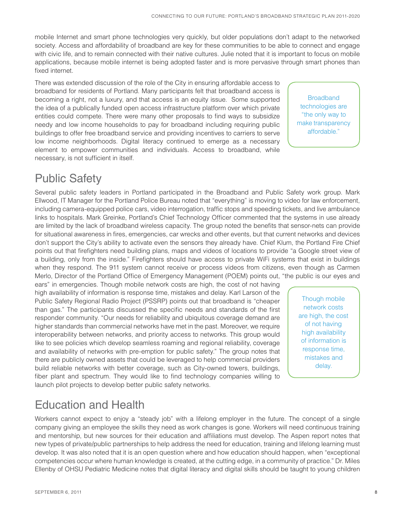mobile Internet and smart phone technologies very quickly, but older populations don't adapt to the networked society. Access and affordability of broadband are key for these communities to be able to connect and engage with civic life, and to remain connected with their native cultures. Julie noted that it is important to focus on mobile applications, because mobile internet is being adopted faster and is more pervasive through smart phones than fixed internet.

There was extended discussion of the role of the City in ensuring affordable access to broadband for residents of Portland. Many participants felt that broadband access is becoming a right, not a luxury, and that access is an equity issue. Some supported the idea of a publically funded open access infrastructure platform over which private entities could compete. There were many other proposals to find ways to subsidize needy and low income households to pay for broadband including requiring public buildings to offer free broadband service and providing incentives to carriers to serve low income neighborhoods. Digital literacy continued to emerge as a necessary element to empower communities and individuals. Access to broadband, while necessary, is not sufficient in itself.

**Broadband** technologies are "the only way to make transparency affordable."

## Public Safety

Several public safety leaders in Portland participated in the Broadband and Public Safety work group. Mark Ellwood, IT Manager for the Portland Police Bureau noted that "everything" is moving to video for law enforcement, including camera-equipped police cars, video interrogation, traffic stops and speeding tickets, and live ambulance links to hospitals. Mark Greinke, Portland's Chief Technology Officer commented that the systems in use already are limited by the lack of broadband wireless capacity. The group noted the benefits that sensor-nets can provide for situational awareness in fires, emergencies, car wrecks and other events, but that current networks and devices don't support the City's ability to activate even the sensors they already have. Chief Klum, the Portland Fire Chief points out that firefighters need building plans, maps and videos of locations to provide "a Google street view of a building, only from the inside." Firefighters should have access to private WiFi systems that exist in buildings when they respond. The 911 system cannot receive or process videos from citizens, even though as Carmen Merlo, Director of the Portland Office of Emergency Management (POEM) points out, "the public is our eyes and

ears" in emergencies. Though mobile network costs are high, the cost of not having high availability of information is response time, mistakes and delay. Karl Larson of the Public Safety Regional Radio Project (PSSRP) points out that broadband is "cheaper than gas." The participants discussed the specific needs and standards of the first responder community. "Our needs for reliability and ubiquitous coverage demand are higher standards than commercial networks have met in the past. Moreover, we require interoperability between networks, and priority access to networks. This group would like to see policies which develop seamless roaming and regional reliability, coverage and availability of networks with pre-emption for public safety." The group notes that there are publicly owned assets that could be leveraged to help commercial providers build reliable networks with better coverage, such as City-owned towers, buildings, fiber plant and spectrum. They would like to find technology companies willing to launch pilot projects to develop better public safety networks.

Though mobile network costs are high, the cost of not having high availability of information is response time, mistakes and delay.

## Education and Health

Workers cannot expect to enjoy a "steady job" with a lifelong employer in the future. The concept of a single company giving an employee the skills they need as work changes is gone. Workers will need continuous training and mentorship, but new sources for their education and affiliations must develop. The Aspen report notes that new types of private/public partnerships to help address the need for education, training and lifelong learning must develop. It was also noted that it is an open question where and how education should happen, when "exceptional competencies occur where human knowledge is created, at the cutting edge, in a community of practice." Dr. Miles Ellenby of OHSU Pediatric Medicine notes that digital literacy and digital skills should be taught to young children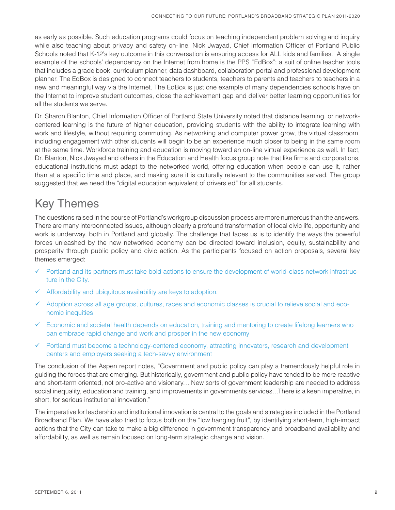as early as possible. Such education programs could focus on teaching independent problem solving and inquiry while also teaching about privacy and safety on-line. Nick Jwayad, Chief Information Officer of Portland Public Schools noted that K-12's key outcome in this conversation is ensuring access for ALL kids and families. A single example of the schools' dependency on the Internet from home is the PPS "EdBox"; a suit of online teacher tools that includes a grade book, curriculum planner, data dashboard, collaboration portal and professional development planner. The EdBox is designed to connect teachers to students, teachers to parents and teachers to teachers in a new and meaningful way via the Internet. The EdBox is just one example of many dependencies schools have on the Internet to improve student outcomes, close the achievement gap and deliver better learning opportunities for all the students we serve.

Dr. Sharon Blanton, Chief Information Officer of Portland State University noted that distance learning, or networkcentered learning is the future of higher education, providing students with the ability to integrate learning with work and lifestyle, without requiring commuting. As networking and computer power grow, the virtual classroom, including engagement with other students will begin to be an experience much closer to being in the same room at the same time. Workforce training and education is moving toward an on-line virtual experience as well. In fact, Dr. Blanton, Nick Jwayad and others in the Education and Health focus group note that like firms and corporations, educational institutions must adapt to the networked world, offering education when people can use it, rather than at a specific time and place, and making sure it is culturally relevant to the communities served. The group suggested that we need the "digital education equivalent of drivers ed" for all students.

## Key Themes

The questions raised in the course of Portland's workgroup discussion process are more numerous than the answers. There are many interconnected issues, although clearly a profound transformation of local civic life, opportunity and work is underway, both in Portland and globally. The challenge that faces us is to identify the ways the powerful forces unleashed by the new networked economy can be directed toward inclusion, equity, sustainability and prosperity through public policy and civic action. As the participants focused on action proposals, several key themes emerged:

- Portland and its partners must take bold actions to ensure the development of world-class network infrastructure in the City.
- $\checkmark$ Affordability and ubiquitous availability are keys to adoption.
- $\checkmark$  Adoption across all age groups, cultures, races and economic classes is crucial to relieve social and economic inequities
- Economic and societal health depends on education, training and mentoring to create lifelong learners who can embrace rapid change and work and prosper in the new economy
- Portland must become a technology-centered economy, attracting innovators, research and development centers and employers seeking a tech-savvy environment

The conclusion of the Aspen report notes, "Government and public policy can play a tremendously helpful role in guiding the forces that are emerging. But historically, government and public policy have tended to be more reactive and short-term oriented, not pro-active and visionary… New sorts of government leadership are needed to address social inequality, education and training, and improvements in governments services…There is a keen imperative, in short, for serious institutional innovation."

The imperative for leadership and institutional innovation is central to the goals and strategies included in the Portland Broadband Plan. We have also tried to focus both on the "low hanging fruit", by identifying short-term, high-impact actions that the City can take to make a big difference in government transparency and broadband availability and affordability, as well as remain focused on long-term strategic change and vision.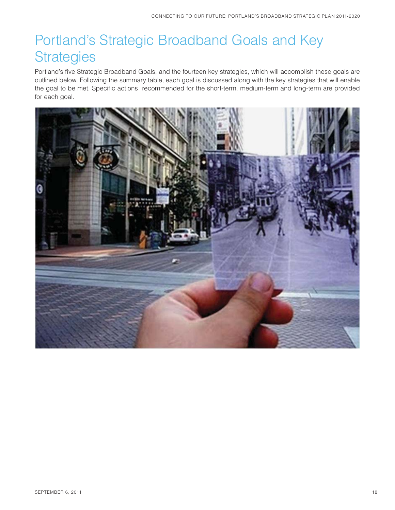# Portland's Strategic Broadband Goals and Key **Strategies**

Portland's five Strategic Broadband Goals, and the fourteen key strategies, which will accomplish these goals are outlined below. Following the summary table, each goal is discussed along with the key strategies that will enable the goal to be met. Specific actions recommended for the short-term, medium-term and long-term are provided for each goal.

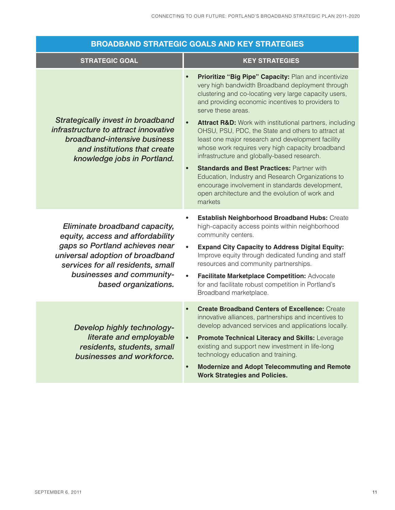|                                                                                                                                                                                                                                  | <b>BROADBAND STRATEGIC GOALS AND KEY STRATEGIES</b>                                                                                                                                                                                                                                                                                                                                                                                                                                                                                                                                                                                                                                                                                                                                    |
|----------------------------------------------------------------------------------------------------------------------------------------------------------------------------------------------------------------------------------|----------------------------------------------------------------------------------------------------------------------------------------------------------------------------------------------------------------------------------------------------------------------------------------------------------------------------------------------------------------------------------------------------------------------------------------------------------------------------------------------------------------------------------------------------------------------------------------------------------------------------------------------------------------------------------------------------------------------------------------------------------------------------------------|
| <b>STRATEGIC GOAL</b>                                                                                                                                                                                                            | <b>KEY STRATEGIES</b>                                                                                                                                                                                                                                                                                                                                                                                                                                                                                                                                                                                                                                                                                                                                                                  |
| <b>Strategically invest in broadband</b><br>infrastructure to attract innovative<br>broadband-intensive business<br>and institutions that create<br>knowledge jobs in Portland.                                                  | Prioritize "Big Pipe" Capacity: Plan and incentivize<br>$\bullet$<br>very high bandwidth Broadband deployment through<br>clustering and co-locating very large capacity users,<br>and providing economic incentives to providers to<br>serve these areas.<br><b>Attract R&amp;D:</b> Work with institutional partners, including<br>OHSU, PSU, PDC, the State and others to attract at<br>least one major research and development facility<br>whose work requires very high capacity broadband<br>infrastructure and globally-based research.<br><b>Standards and Best Practices: Partner with</b><br>$\bullet$<br>Education, Industry and Research Organizations to<br>encourage involvement in standards development,<br>open architecture and the evolution of work and<br>markets |
| Eliminate broadband capacity,<br>equity, access and affordability<br>gaps so Portland achieves near<br>universal adoption of broadband<br>services for all residents, small<br>businesses and community-<br>based organizations. | Establish Neighborhood Broadband Hubs: Create<br>high-capacity access points within neighborhood<br>community centers.<br><b>Expand City Capacity to Address Digital Equity:</b><br>$\bullet$<br>Improve equity through dedicated funding and staff<br>resources and community partnerships.<br>Facilitate Marketplace Competition: Advocate<br>$\bullet$<br>for and facilitate robust competition in Portland's<br>Broadband marketplace.                                                                                                                                                                                                                                                                                                                                             |
| Develop highly technology-<br>literate and employable<br>residents, students, small<br>businesses and workforce.                                                                                                                 | <b>Create Broadband Centers of Excellence: Create</b><br>$\bullet$<br>innovative alliances, partnerships and incentives to<br>develop advanced services and applications locally.<br>Promote Technical Literacy and Skills: Leverage<br>existing and support new investment in life-long<br>technology education and training.<br><b>Modernize and Adopt Telecommuting and Remote</b><br>$\bullet$<br><b>Work Strategies and Policies.</b>                                                                                                                                                                                                                                                                                                                                             |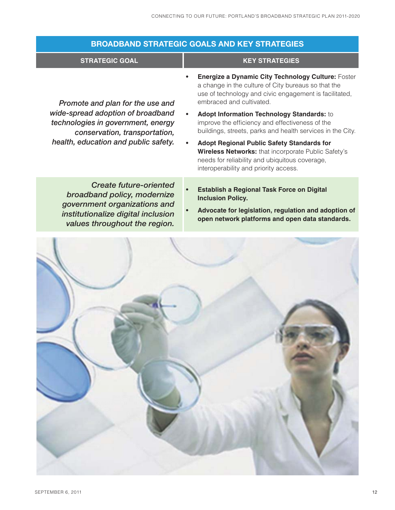| <b>BROADBAND STRATEGIC GOALS AND KEY STRATEGIES</b>                                                                                                                                  |                                                                                                                                                                                                     |
|--------------------------------------------------------------------------------------------------------------------------------------------------------------------------------------|-----------------------------------------------------------------------------------------------------------------------------------------------------------------------------------------------------|
| <b>STRATEGIC GOAL</b>                                                                                                                                                                | <b>KEY STRATEGIES</b>                                                                                                                                                                               |
| Promote and plan for the use and<br>wide-spread adoption of broadband<br>technologies in government, energy<br>conservation, transportation,<br>health, education and public safety. | Energize a Dynamic City Technology Culture: Foster<br>a change in the culture of City bureaus so that the<br>use of technology and civic engagement is facilitated,<br>embraced and cultivated.     |
|                                                                                                                                                                                      | Adopt Information Technology Standards: to<br>improve the efficiency and effectiveness of the<br>buildings, streets, parks and health services in the City.                                         |
|                                                                                                                                                                                      | <b>Adopt Regional Public Safety Standards for</b><br>Wireless Networks: that incorporate Public Safety's<br>needs for reliability and ubiquitous coverage,<br>interoperability and priority access. |
| <b>Create future-oriented</b><br>broadband policy, modernize<br>government organizations and<br>institutionalize digital inclusion<br>values throughout the region.                  | <b>Establish a Regional Task Force on Digital</b><br><b>Inclusion Policy.</b><br>Advocate for legislation, regulation and adoption of<br>open network platforms and open data standards.            |
|                                                                                                                                                                                      |                                                                                                                                                                                                     |

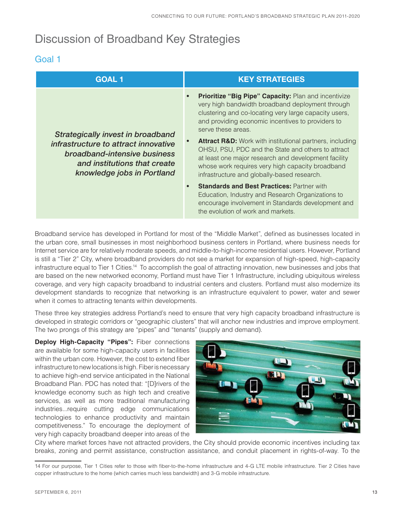## Discussion of Broadband Key Strategies

### Goal 1

| <b>GOAL 1</b>                                                                                                                                                           | <b>KEY STRATEGIES</b>                                                                                                                                                                                                                                                                |
|-------------------------------------------------------------------------------------------------------------------------------------------------------------------------|--------------------------------------------------------------------------------------------------------------------------------------------------------------------------------------------------------------------------------------------------------------------------------------|
| Strategically invest in broadband<br>infrastructure to attract innovative<br>broadband-intensive business<br>and institutions that create<br>knowledge jobs in Portland | Prioritize "Big Pipe" Capacity: Plan and incentivize<br>very high bandwidth broadband deployment through<br>clustering and co-locating very large capacity users,<br>and providing economic incentives to providers to<br>serve these areas.                                         |
|                                                                                                                                                                         | <b>Attract R&amp;D:</b> Work with institutional partners, including<br>OHSU, PSU, PDC and the State and others to attract<br>at least one major research and development facility<br>whose work requires very high capacity broadband<br>infrastructure and globally-based research. |
|                                                                                                                                                                         | <b>Standards and Best Practices: Partner with</b><br>$\bullet$<br>Education, Industry and Research Organizations to<br>encourage involvement in Standards development and<br>the evolution of work and markets.                                                                      |

Broadband service has developed in Portland for most of the "Middle Market", defined as businesses located in the urban core, small businesses in most neighborhood business centers in Portland, where business needs for Internet service are for relatively moderate speeds, and middle-to-high-income residential users. However, Portland is still a "Tier 2" City, where broadband providers do not see a market for expansion of high-speed, high-capacity infrastructure equal to Tier 1 Cities.14 To accomplish the goal of attracting innovation, new businesses and jobs that are based on the new networked economy, Portland must have Tier 1 Infrastructure, including ubiquitous wireless coverage, and very high capacity broadband to industrial centers and clusters. Portland must also modernize its development standards to recognize that networking is an infrastructure equivalent to power, water and sewer when it comes to attracting tenants within developments.

These three key strategies address Portland's need to ensure that very high capacity broadband infrastructure is developed in strategic corridors or "geographic clusters" that will anchor new industries and improve employment. The two prongs of this strategy are "pipes" and "tenants" (supply and demand).

**Deploy High-Capacity "Pipes":** Fiber connections are available for some high-capacity users in facilities within the urban core. However, the cost to extend fiber infrastructure to new locations is high. Fiber is necessary to achieve high-end service anticipated in the National Broadband Plan. PDC has noted that: "[D]rivers of the knowledge economy such as high tech and creative services, as well as more traditional manufacturing industries...require cutting edge communications technologies to enhance productivity and maintain competitiveness." To encourage the deployment of very high capacity broadband deeper into areas of the



City where market forces have not attracted providers, the City should provide economic incentives including tax breaks, zoning and permit assistance, construction assistance, and conduit placement in rights-of-way. To the

<sup>14</sup> For our purpose, Tier 1 Cities refer to those with fiber-to-the-home infrastructure and 4-G LTE mobile infrastructure. Tier 2 Cities have copper infrastructure to the home (which carries much less bandwidth) and 3-G mobile infrastructure.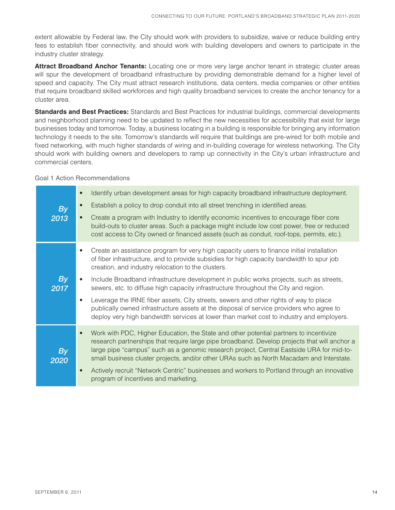extent allowable by Federal law, the City should work with providers to subsidize, waive or reduce building entry fees to establish fiber connectivity, and should work with building developers and owners to participate in the industry cluster strategy.

**Attract Broadband Anchor Tenants:** Locating one or more very large anchor tenant in strategic cluster areas will spur the development of broadband infrastructure by providing demonstrable demand for a higher level of speed and capacity. The City must attract research institutions, data centers, media companies or other entities that require broadband skilled workforces and high quality broadband services to create the anchor tenancy for a cluster area.

**Standards and Best Practices:** Standards and Best Practices for industrial buildings, commercial developments and neighborhood planning need to be updated to reflect the new necessities for accessibility that exist for large businesses today and tomorrow. Today, a business locating in a building is responsible for bringing any information technology it needs to the site. Tomorrow's standards will require that buildings are pre-wired for both mobile and fixed networking, with much higher standards of wiring and in-building coverage for wireless networking. The City should work with building owners and developers to ramp up connectivity in the City's urban infrastructure and commercial centers.

#### Goal 1 Action Recommendations

| Identify urban development areas for high capacity broadband infrastructure deployment.<br>$\bullet$<br>Establish a policy to drop conduit into all street trenching in identified areas.<br>$\bullet$<br>Create a program with Industry to identify economic incentives to encourage fiber core<br>$\bullet$<br>build-outs to cluster areas. Such a package might include low cost power, free or reduced<br>cost access to City owned or financed assets (such as conduit, roof-tops, permits, etc.). |
|---------------------------------------------------------------------------------------------------------------------------------------------------------------------------------------------------------------------------------------------------------------------------------------------------------------------------------------------------------------------------------------------------------------------------------------------------------------------------------------------------------|
| Create an assistance program for very high capacity users to finance initial installation<br>$\bullet$<br>of fiber infrastructure, and to provide subsidies for high capacity bandwidth to spur job<br>creation, and industry relocation to the clusters.<br>Include Broadband infrastructure development in public works projects, such as streets,<br>$\bullet$<br>sewers, etc. to diffuse high capacity infrastructure throughout the City and region.                                               |
| Leverage the IRNE fiber assets, City streets, sewers and other rights of way to place<br>$\bullet$<br>publically owned infrastructure assets at the disposal of service providers who agree to<br>deploy very high bandwidth services at lower than market cost to industry and employers.                                                                                                                                                                                                              |
| Work with PDC, Higher Education, the State and other potential partners to incentivize<br>$\bullet$<br>research partnerships that require large pipe broadband. Develop projects that will anchor a<br>large pipe "campus" such as a genomic research project, Central Eastside URA for mid-to-<br>small business cluster projects, and/or other URAs such as North Macadam and Interstate.<br>Actively recruit "Network Centric" businesses and workers to Portland through an innovative<br>$\bullet$ |
|                                                                                                                                                                                                                                                                                                                                                                                                                                                                                                         |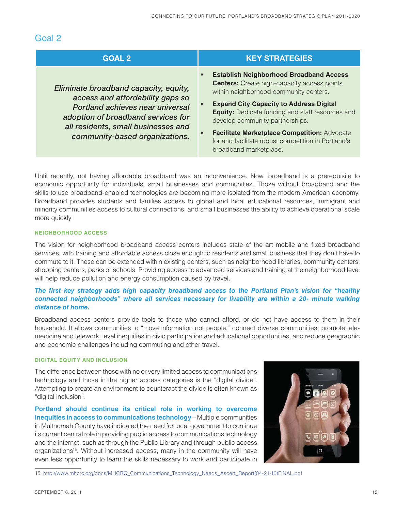### Goal 2

| <b>GOAL 2</b>                                                                                                                                                                                                                | <b>KEY STRATEGIES</b>                                                                                                                                                                                                                                                                                                                                                                                                                                     |
|------------------------------------------------------------------------------------------------------------------------------------------------------------------------------------------------------------------------------|-----------------------------------------------------------------------------------------------------------------------------------------------------------------------------------------------------------------------------------------------------------------------------------------------------------------------------------------------------------------------------------------------------------------------------------------------------------|
| Eliminate broadband capacity, equity,<br>access and affordability gaps so<br>Portland achieves near universal<br>adoption of broadband services for<br>all residents, small businesses and<br>community-based organizations. | <b>Establish Neighborhood Broadband Access</b><br>$\bullet$<br><b>Centers:</b> Create high-capacity access points<br>within neighborhood community centers.<br><b>Expand City Capacity to Address Digital</b><br><b>Equity:</b> Dedicate funding and staff resources and<br>develop community partnerships.<br>Facilitate Marketplace Competition: Advocate<br>$\bullet$<br>for and facilitate robust competition in Portland's<br>broadband marketplace. |

Until recently, not having affordable broadband was an inconvenience. Now, broadband is a prerequisite to economic opportunity for individuals, small businesses and communities. Those without broadband and the skills to use broadband-enabled technologies are becoming more isolated from the modern American economy. Broadband provides students and families access to global and local educational resources, immigrant and minority communities access to cultural connections, and small businesses the ability to achieve operational scale more quickly.

#### **NEIGHBORHOOD ACCESS**

The vision for neighborhood broadband access centers includes state of the art mobile and fixed broadband services, with training and affordable access close enough to residents and small business that they don't have to commute to it. These can be extended within existing centers, such as neighborhood libraries, community centers, shopping centers, parks or schools. Providing access to advanced services and training at the neighborhood level will help reduce pollution and energy consumption caused by travel.

#### *The first key strategy adds high capacity broadband access to the Portland Plan's vision for "healthy connected neighborhoods" where all services necessary for livability are within a 20- minute walking distance of home.*

Broadband access centers provide tools to those who cannot afford, or do not have access to them in their household. It allows communities to "move information not people," connect diverse communities, promote telemedicine and telework, level inequities in civic participation and educational opportunities, and reduce geographic and economic challenges including commuting and other travel.

#### **DIGITAL EQUITY AND INCLUSION**

The difference between those with no or very limited access to communications technology and those in the higher access categories is the "digital divide". Attempting to create an environment to counteract the divide is often known as "digital inclusion".

**Portland should continue its critical role in working to overcome inequities in access to communications technology** – Multiple communities in Multnomah County have indicated the need for local government to continue its current central role in providing public access to communications technology and the internet, such as through the Public Library and through public access organizations<sup>15</sup>. Without increased access, many in the community will have even less opportunity to learn the skills necessary to work and participate in



15 http://www.mhcrc.org/docs/MHCRC\_Communications\_Technology\_Needs\_Ascert\_Report(04-21-10)FINAL.pdf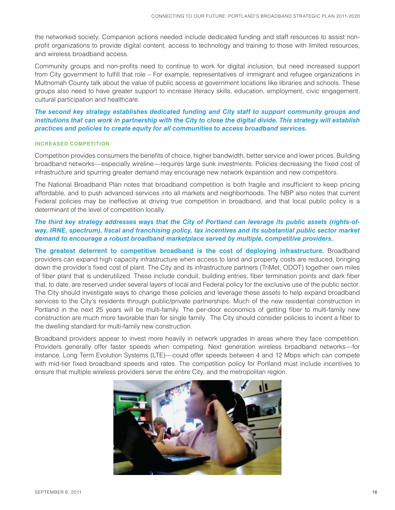the networked society. Companion actions needed include dedicated funding and staff resources to assist nonprofit organizations to provide digital content, access to technology and training to those with limited resources, and wireless broadband access.

Community groups and non-profits need to continue to work for digital inclusion, but need increased support from City government to fulfill that role – For example, representatives of immigrant and refugee organizations in Multnomah County talk about the value of public access at government locations like libraries and schools. These groups also need to have greater support to increase literacy skills, education, employment, civic engagement, cultural participation and healthcare.

#### *The second key strategy establishes dedicated funding and City staff to support community groups and institutions that can work in partnership with the City to close the digital divide. This strategy will establish practices and policies to create equity for all communities to access broadband services.*

#### **INCREASED COMPETITION**

Competition provides consumers the benefits of choice, higher bandwidth, better service and lower prices. Building broadband networks—especially wireline—requires large sunk investments. Policies decreasing the fixed cost of infrastructure and spurring greater demand may encourage new network expansion and new competitors.

The National Broadband Plan notes that broadband competition is both fragile and insufficient to keep pricing affordable, and to push advanced services into all markets and neighborhoods. The NBP also notes that current Federal policies may be ineffective at driving true competition in broadband, and that local public policy is a determinant of the level of competition locally.

#### *The third key strategy addresses ways that the City of Portland can leverage its public assets (rights-ofway, IRNE, spectrum), fiscal and franchising policy, tax incentives and its substantial public sector market demand to encourage a robust broadband marketplace served by multiple, competitive providers.*

**The greatest deterrent to competitive broadband is the cost of deploying infrastructure.** Broadband providers can expand high capacity infrastructure when access to land and property costs are reduced, bringing down the provider's fixed cost of plant. The City and its infrastructure partners (TriMet, ODOT) together own miles of fiber plant that is underutilized. These include conduit, building entries, fiber termination points and dark fiber that, to date, are reserved under several layers of local and Federal policy for the exclusive use of the public sector. The City should investigate ways to change these policies and leverage these assets to help expand broadband services to the City's residents through public/private partnerships. Much of the new residential construction in Portland in the next 25 years will be multi-family. The per-door economics of getting fiber to multi-family new construction are much more favorable than for single family. The City should consider policies to incent a fiber to the dwelling standard for multi-family new construction.

Broadband providers appear to invest more heavily in network upgrades in areas where they face competition. Providers generally offer faster speeds when competing. Next generation wireless broadband networks—for instance, Long Term Evolution Systems (LTE)—could offer speeds between 4 and 12 Mbps which can compete with mid-tier fixed broadband speeds and rates. The competition policy for Portland must include incentives to ensure that multiple wireless providers serve the entire City, and the metropolitan region.

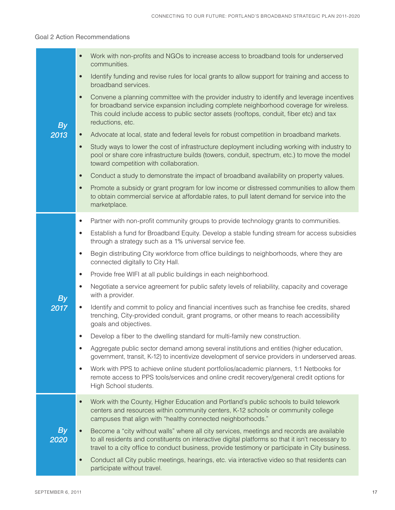#### Goal 2 Action Recommendations

|            | Work with non-profits and NGOs to increase access to broadband tools for underserved<br>$\bullet$<br>communities.                                                                                                                                                                                                  |
|------------|--------------------------------------------------------------------------------------------------------------------------------------------------------------------------------------------------------------------------------------------------------------------------------------------------------------------|
|            | Identify funding and revise rules for local grants to allow support for training and access to<br>$\bullet$<br>broadband services.                                                                                                                                                                                 |
| <b>By</b>  | Convene a planning committee with the provider industry to identify and leverage incentives<br>$\bullet$<br>for broadband service expansion including complete neighborhood coverage for wireless.<br>This could include access to public sector assets (rooftops, conduit, fiber etc) and tax<br>reductions, etc. |
| 2013       | Advocate at local, state and federal levels for robust competition in broadband markets.<br>$\bullet$                                                                                                                                                                                                              |
|            | Study ways to lower the cost of infrastructure deployment including working with industry to<br>$\bullet$<br>pool or share core infrastructure builds (towers, conduit, spectrum, etc.) to move the model<br>toward competition with collaboration.                                                                |
|            | Conduct a study to demonstrate the impact of broadband availability on property values.<br>$\bullet$                                                                                                                                                                                                               |
|            | Promote a subsidy or grant program for low income or distressed communities to allow them<br>$\bullet$<br>to obtain commercial service at affordable rates, to pull latent demand for service into the<br>marketplace.                                                                                             |
|            | Partner with non-profit community groups to provide technology grants to communities.<br>$\bullet$                                                                                                                                                                                                                 |
|            | Establish a fund for Broadband Equity. Develop a stable funding stream for access subsidies<br>$\bullet$<br>through a strategy such as a 1% universal service fee.                                                                                                                                                 |
|            | Begin distributing City workforce from office buildings to neighborhoods, where they are<br>$\bullet$<br>connected digitally to City Hall.                                                                                                                                                                         |
|            | Provide free WIFI at all public buildings in each neighborhood.<br>$\bullet$                                                                                                                                                                                                                                       |
| <b>By</b>  | Negotiate a service agreement for public safety levels of reliability, capacity and coverage<br>$\bullet$<br>with a provider.                                                                                                                                                                                      |
| 2017       | Identify and commit to policy and financial incentives such as franchise fee credits, shared<br>$\bullet$<br>trenching, City-provided conduit, grant programs, or other means to reach accessibility<br>goals and objectives.                                                                                      |
|            | Develop a fiber to the dwelling standard for multi-family new construction.<br>$\bullet$                                                                                                                                                                                                                           |
|            | Aggregate public sector demand among several institutions and entities (higher education,<br>$\bullet$<br>government, transit, K-12) to incentivize development of service providers in underserved areas.                                                                                                         |
|            | Work with PPS to achieve online student portfolios/academic planners, 1:1 Netbooks for<br>$\bullet$<br>remote access to PPS tools/services and online credit recovery/general credit options for<br>High School students.                                                                                          |
|            | Work with the County, Higher Education and Portland's public schools to build telework<br>$\bullet$<br>centers and resources within community centers, K-12 schools or community college<br>campuses that align with "healthy connected neighborhoods."                                                            |
| By<br>2020 | Become a "city without walls" where all city services, meetings and records are available<br>to all residents and constituents on interactive digital platforms so that it isn't necessary to<br>travel to a city office to conduct business, provide testimony or participate in City business.                   |
|            | Conduct all City public meetings, hearings, etc. via interactive video so that residents can<br>$\bullet$<br>participate without travel.                                                                                                                                                                           |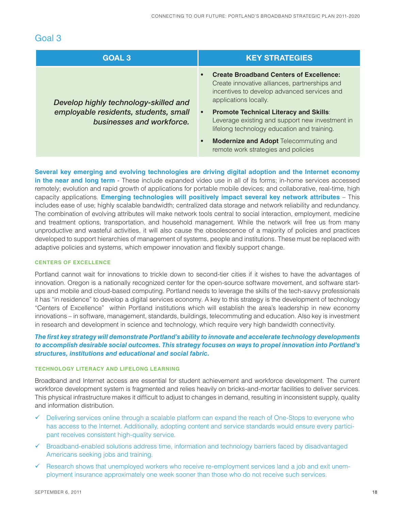### Goal 3

| <b>GOAL 3</b>                                                                                               | <b>KEY STRATEGIES</b>                                                                                                                                                                                                                                                                                                                                                                                                                             |
|-------------------------------------------------------------------------------------------------------------|---------------------------------------------------------------------------------------------------------------------------------------------------------------------------------------------------------------------------------------------------------------------------------------------------------------------------------------------------------------------------------------------------------------------------------------------------|
| Develop highly technology-skilled and<br>employable residents, students, small<br>businesses and workforce. | <b>Create Broadband Centers of Excellence:</b><br>$\bullet$<br>Create innovative alliances, partnerships and<br>incentives to develop advanced services and<br>applications locally.<br><b>Promote Technical Literacy and Skills:</b><br>$\bullet$<br>Leverage existing and support new investment in<br>lifelong technology education and training.<br>Modernize and Adopt Telecommuting and<br>$\bullet$<br>remote work strategies and policies |

**Several key emerging and evolving technologies are driving digital adoption and the Internet economy in the near and long term** - These include expanded video use in all of its forms; in-home services accessed remotely; evolution and rapid growth of applications for portable mobile devices; and collaborative, real-time, high capacity applications. **Emerging technologies will positively impact several key network attributes** – This includes ease of use; highly scalable bandwidth; centralized data storage and network reliability and redundancy. The combination of evolving attributes will make network tools central to social interaction, employment, medicine and treatment options, transportation, and household management. While the network will free us from many unproductive and wasteful activities, it will also cause the obsolescence of a majority of policies and practices developed to support hierarchies of management of systems, people and institutions. These must be replaced with adaptive policies and systems, which empower innovation and flexibly support change.

#### **CENTERS OF EXCELLENCE**

Portland cannot wait for innovations to trickle down to second-tier cities if it wishes to have the advantages of innovation. Oregon is a nationally recognized center for the open-source software movement, and software startups and mobile and cloud-based computing. Portland needs to leverage the skills of the tech-savvy professionals it has "in residence" to develop a digital services economy. A key to this strategy is the development of technology "Centers of Excellence" within Portland institutions which will establish the area's leadership in new economy innovations – in software, management, standards, buildings, telecommuting and education. Also key is investment in research and development in science and technology, which require very high bandwidth connectivity.

#### *The first key strategy will demonstrate Portland's ability to innovate and accelerate technology developments to accomplish desirable social outcomes. This strategy focuses on ways to propel innovation into Portland's structures, institutions and educational and social fabric.*

#### **TECHNOLOGY LITERACY AND LIFELONG LEARNING**

Broadband and Internet access are essential for student achievement and workforce development. The current workforce development system is fragmented and relies heavily on bricks-and-mortar facilities to deliver services. This physical infrastructure makes it difficult to adjust to changes in demand, resulting in inconsistent supply, quality and information distribution.

- $\checkmark$  Delivering services online through a scalable platform can expand the reach of One-Stops to everyone who has access to the Internet. Additionally, adopting content and service standards would ensure every participant receives consistent high-quality service.
- $\checkmark$  Broadband-enabled solutions address time, information and technology barriers faced by disadvantaged Americans seeking jobs and training.
- $\checkmark$  Research shows that unemployed workers who receive re-employment services land a job and exit unemployment insurance approximately one week sooner than those who do not receive such services.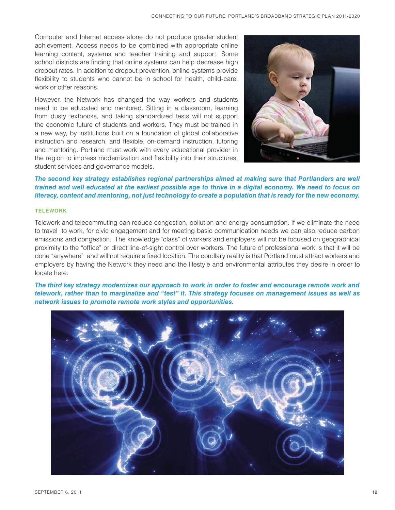Computer and Internet access alone do not produce greater student achievement. Access needs to be combined with appropriate online learning content, systems and teacher training and support. Some school districts are finding that online systems can help decrease high dropout rates. In addition to dropout prevention, online systems provide flexibility to students who cannot be in school for health, child-care, work or other reasons.

However, the Network has changed the way workers and students need to be educated and mentored. Sitting in a classroom, learning from dusty textbooks, and taking standardized tests will not support the economic future of students and workers. They must be trained in a new way, by institutions built on a foundation of global collaborative instruction and research, and flexible, on-demand instruction, tutoring and mentoring. Portland must work with every educational provider in the region to impress modernization and flexibility into their structures, student services and governance models.



*The second key strategy establishes regional partnerships aimed at making sure that Portlanders are well trained and well educated at the earliest possible age to thrive in a digital economy. We need to focus on literacy, content and mentoring, not just technology to create a population that is ready for the new economy.*

#### **TELEWORK**

Telework and telecommuting can reduce congestion, pollution and energy consumption. If we eliminate the need to travel to work, for civic engagement and for meeting basic communication needs we can also reduce carbon emissions and congestion. The knowledge "class" of workers and employers will not be focused on geographical proximity to the "office" or direct line-of-sight control over workers. The future of professional work is that it will be done "anywhere" and will not require a fixed location. The corollary reality is that Portland must attract workers and employers by having the Network they need and the lifestyle and environmental attributes they desire in order to locate here.

*The third key strategy modernizes our approach to work in order to foster and encourage remote work and telework, rather than to marginalize and "test" it. This strategy focuses on management issues as well as network issues to promote remote work styles and opportunities.*

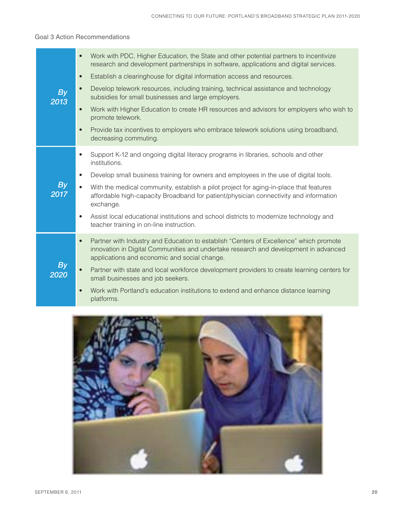#### Goal 3 Action Recommendations

|                   | Work with PDC, Higher Education, the State and other potential partners to incentivize<br>$\bullet$<br>research and development partnerships in software, applications and digital services.<br>Establish a clearinghouse for digital information access and resources.<br>$\bullet$ |
|-------------------|--------------------------------------------------------------------------------------------------------------------------------------------------------------------------------------------------------------------------------------------------------------------------------------|
| <b>By</b><br>2013 | Develop telework resources, including training, technical assistance and technology<br>$\bullet$<br>subsidies for small businesses and large employers.                                                                                                                              |
|                   | Work with Higher Education to create HR resources and advisors for employers who wish to<br>$\bullet$<br>promote telework.                                                                                                                                                           |
|                   | Provide tax incentives to employers who embrace telework solutions using broadband,<br>$\bullet$<br>decreasing commuting.                                                                                                                                                            |
|                   | Support K-12 and ongoing digital literacy programs in libraries, schools and other<br>$\bullet$<br>institutions.                                                                                                                                                                     |
|                   | Develop small business training for owners and employees in the use of digital tools.<br>$\bullet$                                                                                                                                                                                   |
| <b>By</b><br>2017 | With the medical community, establish a pilot project for aging-in-place that features<br>$\bullet$<br>affordable high-capacity Broadband for patient/physician connectivity and information<br>exchange.                                                                            |
|                   | Assist local educational institutions and school districts to modernize technology and<br>$\bullet$<br>teacher training in on-line instruction.                                                                                                                                      |
|                   | Partner with Industry and Education to establish "Centers of Excellence" which promote<br>$\bullet$<br>innovation in Digital Communities and undertake research and development in advanced<br>applications and economic and social change.                                          |
| <b>By</b><br>2020 | Partner with state and local workforce development providers to create learning centers for<br>$\bullet$<br>small businesses and job seekers.                                                                                                                                        |
|                   | Work with Portland's education institutions to extend and enhance distance learning<br>platforms.                                                                                                                                                                                    |

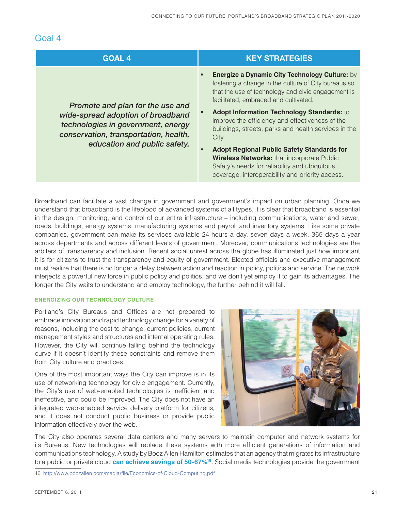### Goal 4

| <b>GOAL 4</b>                                                                                                                                                                        | <b>KEY STRATEGIES</b>                                                                                                                                                                                                                                                                                                                                                                                                                                                                                                                                                                                                  |
|--------------------------------------------------------------------------------------------------------------------------------------------------------------------------------------|------------------------------------------------------------------------------------------------------------------------------------------------------------------------------------------------------------------------------------------------------------------------------------------------------------------------------------------------------------------------------------------------------------------------------------------------------------------------------------------------------------------------------------------------------------------------------------------------------------------------|
| Promote and plan for the use and<br>wide-spread adoption of broadband<br>technologies in government, energy<br>conservation, transportation, health,<br>education and public safety. | <b>Energize a Dynamic City Technology Culture: by</b><br>$\bullet$<br>fostering a change in the culture of City bureaus so<br>that the use of technology and civic engagement is<br>facilitated, embraced and cultivated.<br>Adopt Information Technology Standards: to<br>improve the efficiency and effectiveness of the<br>buildings, streets, parks and health services in the<br>City.<br><b>Adopt Regional Public Safety Standards for</b><br>$\bullet$<br><b>Wireless Networks: that incorporate Public</b><br>Safety's needs for reliability and ubiquitous<br>coverage, interoperability and priority access. |

Broadband can facilitate a vast change in government and government's impact on urban planning. Once we understand that broadband is the lifeblood of advanced systems of all types, it is clear that broadband is essential in the design, monitoring, and control of our entire infrastructure – including communications, water and sewer, roads, buildings, energy systems, manufacturing systems and payroll and inventory systems. Like some private companies, government can make its services available 24 hours a day, seven days a week, 365 days a year across departments and across different levels of government. Moreover, communications technologies are the arbiters of transparency and inclusion. Recent social unrest across the globe has illuminated just how important it is for citizens to trust the transparency and equity of government. Elected officials and executive management must realize that there is no longer a delay between action and reaction in policy, politics and service. The network interjects a powerful new force in public policy and politics, and we don't yet employ it to gain its advantages. The longer the City waits to understand and employ technology, the further behind it will fall.

#### **ENERGIZING OUR TECHNOLOGY CULTURE**

Portland's City Bureaus and Offices are not prepared to embrace innovation and rapid technology change for a variety of reasons, including the cost to change, current policies, current management styles and structures and internal operating rules. However, the City will continue falling behind the technology curve if it doesn't identify these constraints and remove them from City culture and practices.

One of the most important ways the City can improve is in its use of networking technology for civic engagement. Currently, the City's use of web-enabled technologies is inefficient and ineffective, and could be improved. The City does not have an integrated web-enabled service delivery platform for citizens, and it does not conduct public business or provide public information effectively over the web.



The City also operates several data centers and many servers to maintain computer and network systems for its Bureaus. New technologies will replace these systems with more efficient generations of information and communications technology. A study by Booz Allen Hamilton estimates that an agency that migrates its infrastructure to a public or private cloud **can achieve savings of 50-67%16**. Social media technologies provide the government

16 http://www.boozallen.com/media/file/Economics-of-Cloud-Computing.pdf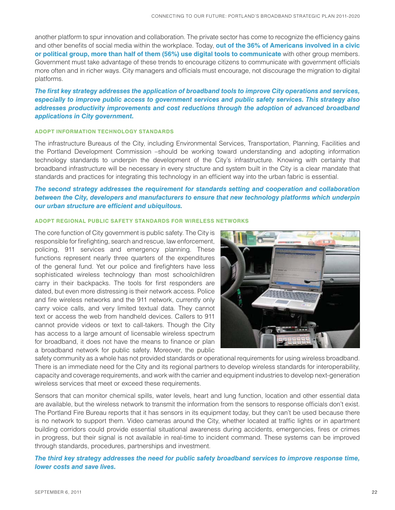another platform to spur innovation and collaboration. The private sector has come to recognize the efficiency gains and other benefits of social media within the workplace. Today, **out of the 36% of Americans involved in a civic or political group, more than half of them (56%) use digital tools to communicate** with other group members. Government must take advantage of these trends to encourage citizens to communicate with government officials more often and in richer ways. City managers and officials must encourage, not discourage the migration to digital platforms.

*The first key strategy addresses the application of broadband tools to improve City operations and services, especially to improve public access to government services and public safety services. This strategy also addresses productivity improvements and cost reductions through the adoption of advanced broadband applications in City government.*

#### **ADOPT INFORMATION TECHNOLOGY STANDARDS**

The infrastructure Bureaus of the City, including Environmental Services, Transportation, Planning, Facilities and the Portland Development Commission –should be working toward understanding and adopting information technology standards to underpin the development of the City's infrastructure. Knowing with certainty that broadband infrastructure will be necessary in every structure and system built in the City is a clear mandate that standards and practices for integrating this technology in an efficient way into the urban fabric is essential.

#### *The second strategy addresses the requirement for standards setting and cooperation and collaboration between the City, developers and manufacturers to ensure that new technology platforms which underpin our urban structure are efficient and ubiquitous.*

#### **ADOPT REGIONAL PUBLIC SAFETY STANDARDS FOR WIRELESS NETWORKS**

The core function of City government is public safety. The City is responsible for firefighting, search and rescue, law enforcement, policing, 911 services and emergency planning. These functions represent nearly three quarters of the expenditures of the general fund. Yet our police and firefighters have less sophisticated wireless technology than most schoolchildren carry in their backpacks. The tools for first responders are dated, but even more distressing is their network access. Police and fire wireless networks and the 911 network, currently only carry voice calls, and very limited textual data. They cannot text or access the web from handheld devices. Callers to 911 cannot provide videos or text to call-takers. Though the City has access to a large amount of licensable wireless spectrum for broadband, it does not have the means to finance or plan a broadband network for public safety. Moreover, the public



safety community as a whole has not provided standards or operational requirements for using wireless broadband. There is an immediate need for the City and its regional partners to develop wireless standards for interoperability, capacity and coverage requirements, and work with the carrier and equipment industries to develop next-generation wireless services that meet or exceed these requirements.

Sensors that can monitor chemical spills, water levels, heart and lung function, location and other essential data are available, but the wireless network to transmit the information from the sensors to response officials don't exist. The Portland Fire Bureau reports that it has sensors in its equipment today, but they can't be used because there is no network to support them. Video cameras around the City, whether located at traffic lights or in apartment building corridors could provide essential situational awareness during accidents, emergencies, fires or crimes in progress, but their signal is not available in real-time to incident command. These systems can be improved through standards, procedures, partnerships and investment.

*The third key strategy addresses the need for public safety broadband services to improve response time, lower costs and save lives.*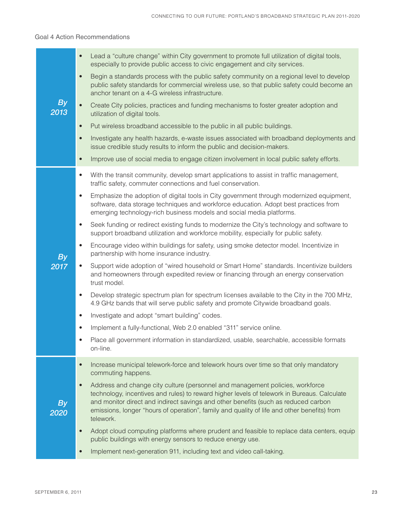#### Goal 4 Action Recommendations

|                   | Lead a "culture change" within City government to promote full utilization of digital tools,<br>$\bullet$<br>especially to provide public access to civic engagement and city services.                                                                                                                                                                                                     |
|-------------------|---------------------------------------------------------------------------------------------------------------------------------------------------------------------------------------------------------------------------------------------------------------------------------------------------------------------------------------------------------------------------------------------|
|                   | Begin a standards process with the public safety community on a regional level to develop<br>$\bullet$<br>public safety standards for commercial wireless use, so that public safety could become an<br>anchor tenant on a 4-G wireless infrastructure.                                                                                                                                     |
| <b>By</b><br>2013 | Create City policies, practices and funding mechanisms to foster greater adoption and<br>$\bullet$<br>utilization of digital tools.                                                                                                                                                                                                                                                         |
|                   | Put wireless broadband accessible to the public in all public buildings.<br>$\bullet$                                                                                                                                                                                                                                                                                                       |
|                   | Investigate any health hazards, e-waste issues associated with broadband deployments and<br>$\bullet$<br>issue credible study results to inform the public and decision-makers.                                                                                                                                                                                                             |
|                   | Improve use of social media to engage citizen involvement in local public safety efforts.<br>$\bullet$                                                                                                                                                                                                                                                                                      |
|                   | With the transit community, develop smart applications to assist in traffic management,<br>$\bullet$<br>traffic safety, commuter connections and fuel conservation.                                                                                                                                                                                                                         |
|                   | Emphasize the adoption of digital tools in City government through modernized equipment,<br>$\bullet$<br>software, data storage techniques and workforce education. Adopt best practices from<br>emerging technology-rich business models and social media platforms.                                                                                                                       |
|                   | Seek funding or redirect existing funds to modernize the City's technology and software to<br>$\bullet$<br>support broadband utilization and workforce mobility, especially for public safety.                                                                                                                                                                                              |
| <b>By</b>         | Encourage video within buildings for safety, using smoke detector model. Incentivize in<br>$\bullet$<br>partnership with home insurance industry.                                                                                                                                                                                                                                           |
| 2017              | Support wide adoption of "wired household or Smart Home" standards. Incentivize builders<br>$\bullet$<br>and homeowners through expedited review or financing through an energy conservation<br>trust model.                                                                                                                                                                                |
|                   | Develop strategic spectrum plan for spectrum licenses available to the City in the 700 MHz,<br>$\bullet$<br>4.9 GHz bands that will serve public safety and promote Citywide broadband goals.                                                                                                                                                                                               |
|                   | Investigate and adopt "smart building" codes.<br>$\bullet$                                                                                                                                                                                                                                                                                                                                  |
|                   | Implement a fully-functional, Web 2.0 enabled "311" service online.                                                                                                                                                                                                                                                                                                                         |
|                   | Place all government information in standardized, usable, searchable, accessible formats<br>on-line.                                                                                                                                                                                                                                                                                        |
|                   | Increase municipal telework-force and telework hours over time so that only mandatory<br>$\bullet$<br>commuting happens.                                                                                                                                                                                                                                                                    |
| <b>By</b><br>2020 | Address and change city culture (personnel and management policies, workforce<br>$\bullet$<br>technology, incentives and rules) to reward higher levels of telework in Bureaus. Calculate<br>and monitor direct and indirect savings and other benefits (such as reduced carbon<br>emissions, longer "hours of operation", family and quality of life and other benefits) from<br>telework. |
|                   | Adopt cloud computing platforms where prudent and feasible to replace data centers, equip<br>$\bullet$<br>public buildings with energy sensors to reduce energy use.                                                                                                                                                                                                                        |
|                   | Implement next-generation 911, including text and video call-taking.                                                                                                                                                                                                                                                                                                                        |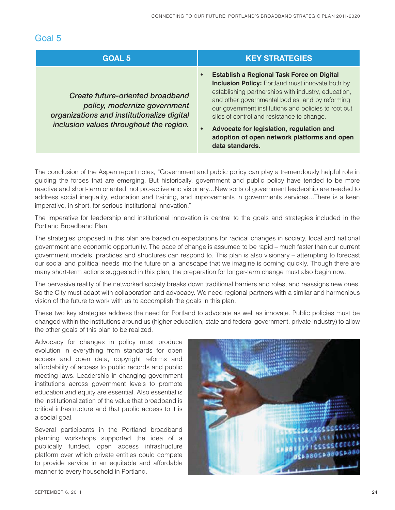### Goal 5

| <b>GOAL 5</b>                                                                                                                                                    | <b>KEY STRATEGIES</b>                                                                                                                                                                                                                                                                                                                                                                                                                                   |
|------------------------------------------------------------------------------------------------------------------------------------------------------------------|---------------------------------------------------------------------------------------------------------------------------------------------------------------------------------------------------------------------------------------------------------------------------------------------------------------------------------------------------------------------------------------------------------------------------------------------------------|
| <b>Create future-oriented broadband</b><br>policy, modernize government<br>organizations and institutionalize digital<br>inclusion values throughout the region. | <b>Establish a Regional Task Force on Digital</b><br>$\bullet$<br><b>Inclusion Policy: Portland must innovate both by</b><br>establishing partnerships with industry, education,<br>and other governmental bodies, and by reforming<br>our government institutions and policies to root out<br>silos of control and resistance to change.<br>Advocate for legislation, regulation and<br>adoption of open network platforms and open<br>data standards. |

The conclusion of the Aspen report notes, "Government and public policy can play a tremendously helpful role in guiding the forces that are emerging. But historically, government and public policy have tended to be more reactive and short-term oriented, not pro-active and visionary…New sorts of government leadership are needed to address social inequality, education and training, and improvements in governments services…There is a keen imperative, in short, for serious institutional innovation."

The imperative for leadership and institutional innovation is central to the goals and strategies included in the Portland Broadband Plan.

The strategies proposed in this plan are based on expectations for radical changes in society, local and national government and economic opportunity. The pace of change is assumed to be rapid – much faster than our current government models, practices and structures can respond to. This plan is also visionary – attempting to forecast our social and political needs into the future on a landscape that we imagine is coming quickly. Though there are many short-term actions suggested in this plan, the preparation for longer-term change must also begin now.

The pervasive reality of the networked society breaks down traditional barriers and roles, and reassigns new ones. So the City must adapt with collaboration and advocacy. We need regional partners with a similar and harmonious vision of the future to work with us to accomplish the goals in this plan.

These two key strategies address the need for Portland to advocate as well as innovate. Public policies must be changed within the institutions around us (higher education, state and federal government, private industry) to allow the other goals of this plan to be realized.

Advocacy for changes in policy must produce evolution in everything from standards for open access and open data, copyright reforms and affordability of access to public records and public meeting laws. Leadership in changing government institutions across government levels to promote education and equity are essential. Also essential is the institutionalization of the value that broadband is critical infrastructure and that public access to it is a social goal.

Several participants in the Portland broadband planning workshops supported the idea of a publically funded, open access infrastructure platform over which private entities could compete to provide service in an equitable and affordable manner to every household in Portland.

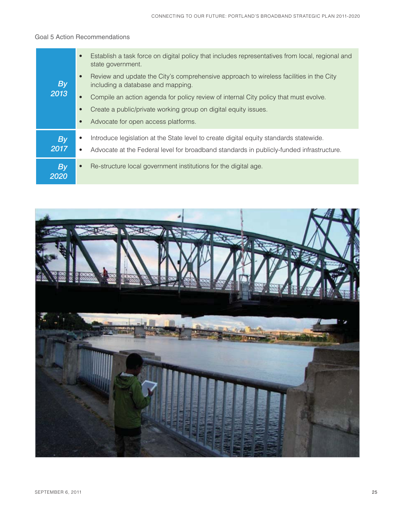#### Goal 5 Action Recommendations

| <b>By</b><br>2013 | $\bullet$ | Establish a task force on digital policy that includes representatives from local, regional and<br>state government.        |
|-------------------|-----------|-----------------------------------------------------------------------------------------------------------------------------|
|                   | $\bullet$ | Review and update the City's comprehensive approach to wireless facilities in the City<br>including a database and mapping. |
|                   | $\bullet$ | Compile an action agenda for policy review of internal City policy that must evolve.                                        |
|                   | $\bullet$ | Create a public/private working group on digital equity issues.                                                             |
|                   | $\bullet$ | Advocate for open access platforms.                                                                                         |
| <b>By</b>         | $\bullet$ | Introduce legislation at the State level to create digital equity standards statewide.                                      |
| 2017              | ٠         | Advocate at the Federal level for broadband standards in publicly-funded infrastructure.                                    |
| <b>By</b><br>2020 | $\bullet$ | Re-structure local government institutions for the digital age.                                                             |

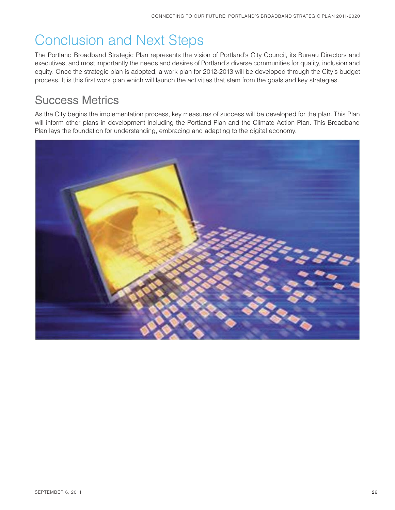# Conclusion and Next Steps

The Portland Broadband Strategic Plan represents the vision of Portland's City Council, its Bureau Directors and executives, and most importantly the needs and desires of Portland's diverse communities for quality, inclusion and equity. Once the strategic plan is adopted, a work plan for 2012-2013 will be developed through the City's budget process. It is this first work plan which will launch the activities that stem from the goals and key strategies.

## Success Metrics

As the City begins the implementation process, key measures of success will be developed for the plan. This Plan will inform other plans in development including the Portland Plan and the Climate Action Plan. This Broadband Plan lays the foundation for understanding, embracing and adapting to the digital economy.

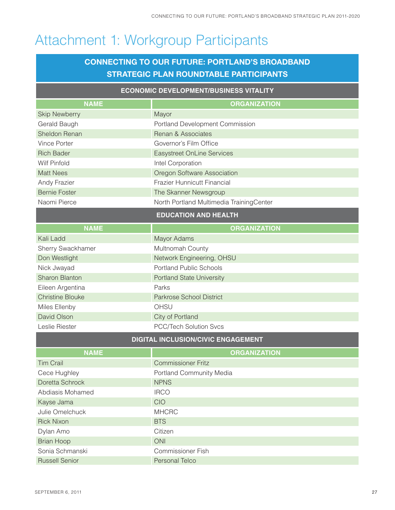# Attachment 1: Workgroup Participants

### **CONNECTING TO OUR FUTURE: PORTLAND'S BROADBAND STRATEGIC PLAN ROUNDTABLE PARTICIPANTS**

| <b>ECONOMIC DEVELOPMENT/BUSINESS VITALITY</b> |                                          |  |  |  |  |  |
|-----------------------------------------------|------------------------------------------|--|--|--|--|--|
| <b>NAME</b>                                   | <b>ORGANIZATION</b>                      |  |  |  |  |  |
| <b>Skip Newberry</b>                          | Mayor                                    |  |  |  |  |  |
| Gerald Baugh                                  | Portland Development Commission          |  |  |  |  |  |
| Sheldon Renan                                 | Renan & Associates                       |  |  |  |  |  |
| <b>Vince Porter</b>                           | Governor's Film Office                   |  |  |  |  |  |
| <b>Rich Bader</b>                             | <b>Easystreet OnLine Services</b>        |  |  |  |  |  |
| Wilf Pinfold                                  | Intel Corporation                        |  |  |  |  |  |
| <b>Matt Nees</b>                              | Oregon Software Association              |  |  |  |  |  |
| Andy Frazier                                  | Frazier Hunnicutt Financial              |  |  |  |  |  |
| <b>Bernie Foster</b>                          | The Skanner Newsgroup                    |  |  |  |  |  |
| Naomi Pierce                                  | North Portland Multimedia TrainingCenter |  |  |  |  |  |
| <b>EDUCATION AND HEALTH</b>                   |                                          |  |  |  |  |  |
| <b>NAME</b>                                   | <b>ORGANIZATION</b>                      |  |  |  |  |  |
| Kali Ladd                                     | Mayor Adams                              |  |  |  |  |  |
| Sherry Swackhamer                             | Multnomah County                         |  |  |  |  |  |
| Don Westlight                                 | Network Engineering, OHSU                |  |  |  |  |  |
| Nick Jwayad                                   | <b>Portland Public Schools</b>           |  |  |  |  |  |
| <b>Sharon Blanton</b>                         | <b>Portland State University</b>         |  |  |  |  |  |
| Eileen Argentina                              | Parks                                    |  |  |  |  |  |
| <b>Christine Blouke</b>                       | Parkrose School District                 |  |  |  |  |  |
| Miles Ellenby                                 | OHSU                                     |  |  |  |  |  |
| David Olson                                   | City of Portland                         |  |  |  |  |  |
| Leslie Riester                                | PCC/Tech Solution Svcs                   |  |  |  |  |  |
|                                               | DIGITAL INCLUSION/CIVIC ENGAGEMENT       |  |  |  |  |  |
| <b>NAME</b>                                   | <b>ORGANIZATION</b>                      |  |  |  |  |  |
| <b>Tim Crail</b>                              | <b>Commissioner Fritz</b>                |  |  |  |  |  |
| Cece Hughley                                  | Portland Community Media                 |  |  |  |  |  |
| Doretta Schrock                               | <b>NPNS</b>                              |  |  |  |  |  |
| Abdiasis Mohamed                              | <b>IRCO</b>                              |  |  |  |  |  |
| Kayse Jama                                    | CIO                                      |  |  |  |  |  |
| Julie Omelchuck                               | <b>MHCRC</b>                             |  |  |  |  |  |
| <b>Rick Nixon</b>                             | <b>BTS</b>                               |  |  |  |  |  |
| Dylan Amo                                     | Citizen                                  |  |  |  |  |  |
| <b>Brian Hoop</b>                             | <b>ONI</b>                               |  |  |  |  |  |
| Sonia Schmanski                               | <b>Commissioner Fish</b>                 |  |  |  |  |  |
| <b>Russell Senior</b>                         | Personal Telco                           |  |  |  |  |  |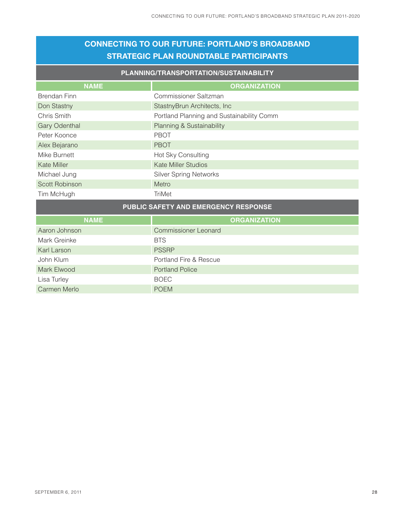### **CONNECTING TO OUR FUTURE: PORTLAND'S BROADBAND STRATEGIC PLAN ROUNDTABLE PARTICIPANTS**

#### **PLANNING/TRANSPORTATION/SUSTAINABILITY**

| <b>NAME</b>                                 | <b>ORGANIZATION</b>                       |  |  |  |
|---------------------------------------------|-------------------------------------------|--|--|--|
| <b>Brendan Finn</b>                         | Commissioner Saltzman                     |  |  |  |
| Don Stastny                                 | StastnyBrun Architects, Inc.              |  |  |  |
| Chris Smith                                 | Portland Planning and Sustainability Comm |  |  |  |
| <b>Gary Odenthal</b>                        | Planning & Sustainability                 |  |  |  |
| Peter Koonce                                | <b>PBOT</b>                               |  |  |  |
| Alex Bejarano                               | <b>PBOT</b>                               |  |  |  |
| Mike Burnett                                | Hot Sky Consulting                        |  |  |  |
| Kate Miller                                 | <b>Kate Miller Studios</b>                |  |  |  |
| Michael Jung                                | <b>Silver Spring Networks</b>             |  |  |  |
| <b>Scott Robinson</b>                       | Metro                                     |  |  |  |
| Tim McHugh                                  | <b>TriMet</b>                             |  |  |  |
| <b>PUBLIC SAFETY AND EMERGENCY RESPONSE</b> |                                           |  |  |  |

| <b>NAME</b>         | <b>ORGANIZATION</b>         |
|---------------------|-----------------------------|
| Aaron Johnson       | <b>Commissioner Leonard</b> |
| Mark Greinke        | <b>BTS</b>                  |
| Karl Larson         | <b>PSSRP</b>                |
| John Klum           | Portland Fire & Rescue      |
| Mark Elwood         | <b>Portland Police</b>      |
| Lisa Turley         | <b>BOEC</b>                 |
| <b>Carmen Merlo</b> | <b>POEM</b>                 |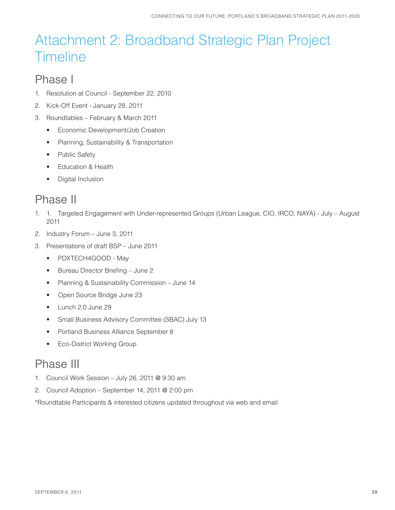# Attachment 2: Broadband Strategic Plan Project **Timeline**

### Phase I

- 1. Resolution at Council September 22, 2010
- 2. Kick-Off Event January 28, 2011
- 3. Roundtables February & March 2011
	- Economic Development/Job Creation
	- Planning, Sustainability & Transportation
	- Public Safety
	- Education & Health
	- Digital Inclusion

### Phase II

- 1. 1. Targeted Engagement with Under-represented Groups (Urban League, CIO, IRCO, NAYA) July August 2011
- 2. Industry Forum June 3, 2011
- 3. Presentations of draft BSP June 2011
	- PDXTECH4GOOD May
	- Bureau Director Briefing June 2
	- Planning & Sustainability Commission June 14
	- Open Source Bridge June 23
	- Lunch 2.0 June 29
	- Small Business Advisory Committee (SBAC) July 13
	- Portland Business Alliance September 8
	- Eco-District Working Group

### Phase III

- 1. Council Work Session July 26, 2011 @ 9:30 am
- 2. Council Adoption September 14, 2011 @ 2:00 pm

\*Roundtable Participants & interested citizens updated throughout via web and email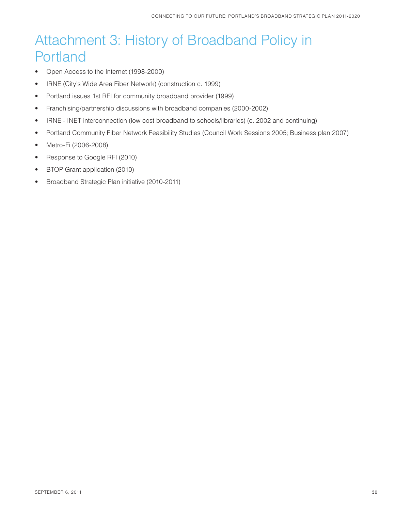# Attachment 3: History of Broadband Policy in Portland

- Open Access to the Internet (1998-2000)
- IRNE (City's Wide Area Fiber Network) (construction c. 1999)
- Portland issues 1st RFI for community broadband provider (1999)
- Franchising/partnership discussions with broadband companies (2000-2002)
- IRNE INET interconnection (low cost broadband to schools/libraries) (c. 2002 and continuing)
- Portland Community Fiber Network Feasibility Studies (Council Work Sessions 2005; Business plan 2007)
- Metro-Fi (2006-2008)
- Response to Google RFI (2010)
- BTOP Grant application (2010)
- Broadband Strategic Plan initiative (2010-2011)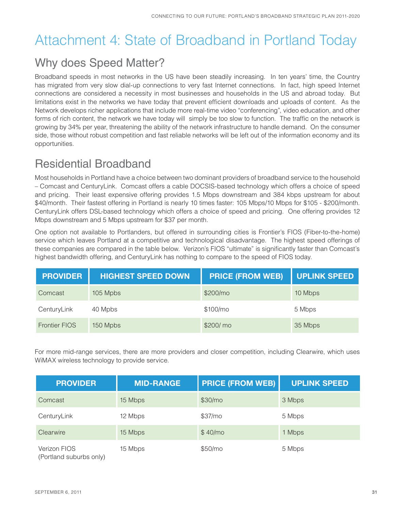# Attachment 4: State of Broadband in Portland Today

## Why does Speed Matter?

Broadband speeds in most networks in the US have been steadily increasing. In ten years' time, the Country has migrated from very slow dial-up connections to very fast Internet connections. In fact, high speed Internet connections are considered a necessity in most businesses and households in the US and abroad today. But limitations exist in the networks we have today that prevent efficient downloads and uploads of content. As the Network develops richer applications that include more real-time video "conferencing", video education, and other forms of rich content, the network we have today will simply be too slow to function. The traffic on the network is growing by 34% per year, threatening the ability of the network infrastructure to handle demand. On the consumer side, those without robust competition and fast reliable networks will be left out of the information economy and its opportunities.

## Residential Broadband

Most households in Portland have a choice between two dominant providers of broadband service to the household – Comcast and CenturyLink. Comcast offers a cable DOCSIS-based technology which offers a choice of speed and pricing. Their least expensive offering provides 1.5 Mbps downstream and 384 kbps upstream for about \$40/month. Their fastest offering in Portland is nearly 10 times faster: 105 Mbps/10 Mbps for \$105 - \$200/month. CenturyLink offers DSL-based technology which offers a choice of speed and pricing. One offering provides 12 Mbps downstream and 5 Mbps upstream for \$37 per month.

One option not available to Portlanders, but offered in surrounding cities is Frontier's FIOS (Fiber-to-the-home) service which leaves Portland at a competitive and technological disadvantage. The highest speed offerings of these companies are compared in the table below. Verizon's FIOS "ultimate" is significantly faster than Comcast's highest bandwidth offering, and CenturyLink has nothing to compare to the speed of FIOS today.

| <b>PROVIDER</b>      | <b>HIGHEST SPEED DOWN</b> | <b>PRICE (FROM WEB)</b> | <b>UPLINK SPEED</b> |
|----------------------|---------------------------|-------------------------|---------------------|
| Comcast              | 105 Mpbs                  | \$200/m <sub>o</sub>    | 10 Mbps             |
| CenturyLink          | 40 Mpbs                   | \$100/m <sub>o</sub>    | 5 Mbps              |
| <b>Frontier FIOS</b> | 150 Mpbs                  | \$200/ mo               | 35 Mbps             |

For more mid-range services, there are more providers and closer competition, including Clearwire, which uses WiMAX wireless technology to provide service.

| <b>PROVIDER</b>                         | <b>MID-RANGE</b> | <b>PRICE (FROM WEB)</b> | <b>UPLINK SPEED</b> |
|-----------------------------------------|------------------|-------------------------|---------------------|
| Comcast                                 | 15 Mbps          | \$30/m <sub>o</sub>     | 3 Mbps              |
| CenturyLink                             | 12 Mbps          | \$37/m <sub>o</sub>     | 5 Mbps              |
| Clearwire                               | 15 Mbps          | \$40/m <sub>o</sub>     | 1 Mbps              |
| Verizon FIOS<br>(Portland suburbs only) | 15 Mbps          | \$50/m <sub>o</sub>     | 5 Mbps              |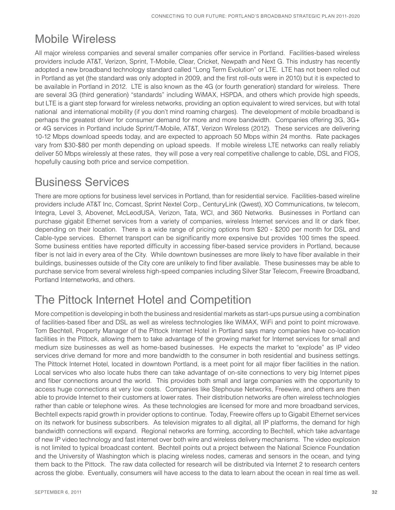## Mobile Wireless

All major wireless companies and several smaller companies offer service in Portland. Facilities-based wireless providers include AT&T, Verizon, Sprint, T-Mobile, Clear, Cricket, Newpath and Next G. This industry has recently adopted a new broadband technology standard called "Long Term Evolution" or LTE. LTE has not been rolled out in Portland as yet (the standard was only adopted in 2009, and the first roll-outs were in 2010) but it is expected to be available in Portland in 2012. LTE is also known as the 4G (or fourth generation) standard for wireless. There are several 3G (third generation) "standards" including WiMAX, HSPDA, and others which provide high speeds, but LTE is a giant step forward for wireless networks, providing an option equivalent to wired services, but with total national and international mobility (if you don't mind roaming charges). The development of mobile broadband is perhaps the greatest driver for consumer demand for more and more bandwidth. Companies offering 3G, 3G+ or 4G services in Portland include Sprint/T-Mobile, AT&T, Verizon Wireless (2012). These services are delivering 10-12 Mbps download speeds today, and are expected to approach 50 Mbps within 24 months. Rate packages vary from \$30-\$80 per month depending on upload speeds. If mobile wireless LTE networks can really reliably deliver 50 Mbps wirelessly at these rates, they will pose a very real competitive challenge to cable, DSL and FIOS, hopefully causing both price and service competition.

## Business Services

There are more options for business level services in Portland, than for residential service. Facilities-based wireline providers include AT&T Inc, Comcast, Sprint Nextel Corp., CenturyLink (Qwest), XO Communications, tw telecom, Integra, Level 3, Abovenet, McLeodUSA, Verizon, Tata, WCI, and 360 Networks. Businesses in Portland can purchase gigabit Ethernet services from a variety of companies, wireless Internet services and lit or dark fiber, depending on their location. There is a wide range of pricing options from \$20 - \$200 per month for DSL and Cable-type services. Ethernet transport can be significantly more expensive but provides 100 times the speed. Some business entities have reported difficulty in accessing fiber-based service providers in Portland, because fiber is not laid in every area of the City. While downtown businesses are more likely to have fiber available in their buildings, businesses outside of the City core are unlikely to find fiber available. These businesses may be able to purchase service from several wireless high-speed companies including Silver Star Telecom, Freewire Broadband, Portland Internetworks, and others.

## The Pittock Internet Hotel and Competition

More competition is developing in both the business and residential markets as start-ups pursue using a combination of facilities-based fiber and DSL as well as wireless technologies like WiMAX, WiFi and point to point microwave. Tom Bechtell, Property Manager of the Pittock Internet Hotel in Portland says many companies have co-location facilities in the Pittock, allowing them to take advantage of the growing market for Internet services for small and medium size businesses as well as home-based businesses. He expects the market to "explode" as IP video services drive demand for more and more bandwidth to the consumer in both residential and business settings. The Pittock Internet Hotel, located in downtown Portland, is a meet point for all major fiber facilities in the nation. Local services who also locate hubs there can take advantage of on-site connections to very big Internet pipes and fiber connections around the world. This provides both small and large companies with the opportunity to access huge connections at very low costs. Companies like Stephouse Networks, Freewire, and others are then able to provide Internet to their customers at lower rates. Their distribution networks are often wireless technologies rather than cable or telephone wires. As these technologies are licensed for more and more broadband services, Bechtell expects rapid growth in provider options to continue. Today, Freewire offers up to Gigabit Ethernet services on its network for business subscribers. As television migrates to all digital, all IP platforms, the demand for high bandwidth connections will expand. Regional networks are forming, according to Bechtell, which take advantage of new IP video technology and fast internet over both wire and wireless delivery mechanisms. The video explosion is not limited to typical broadcast content. Bechtell points out a project between the National Science Foundation and the University of Washington which is placing wireless nodes, cameras and sensors in the ocean, and tying them back to the Pittock. The raw data collected for research will be distributed via Internet 2 to research centers across the globe. Eventually, consumers will have access to the data to learn about the ocean in real time as well.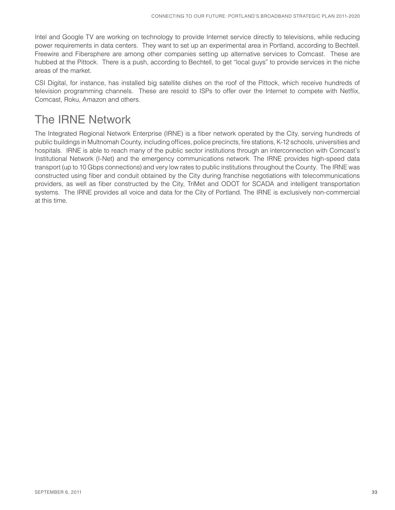Intel and Google TV are working on technology to provide Internet service directly to televisions, while reducing power requirements in data centers. They want to set up an experimental area in Portland, according to Bechtell. Freewire and Fibersphere are among other companies setting up alternative services to Comcast. These are hubbed at the Pittock. There is a push, according to Bechtell, to get "local guys" to provide services in the niche areas of the market.

CSI Digital, for instance, has installed big satellite dishes on the roof of the Pittock, which receive hundreds of television programming channels. These are resold to ISPs to offer over the Internet to compete with Netflix, Comcast, Roku, Amazon and others.

## The IRNE Network

The Integrated Regional Network Enterprise (IRNE) is a fiber network operated by the City, serving hundreds of public buildings in Multnomah County, including offices, police precincts, fire stations, K-12 schools, universities and hospitals. IRNE is able to reach many of the public sector institutions through an interconnection with Comcast's Institutional Network (I-Net) and the emergency communications network. The IRNE provides high-speed data transport (up to 10 Gbps connections) and very low rates to public institutions throughout the County. The IRNE was constructed using fiber and conduit obtained by the City during franchise negotiations with telecommunications providers, as well as fiber constructed by the City, TriMet and ODOT for SCADA and intelligent transportation systems. The IRNE provides all voice and data for the City of Portland. The IRNE is exclusively non-commercial at this time.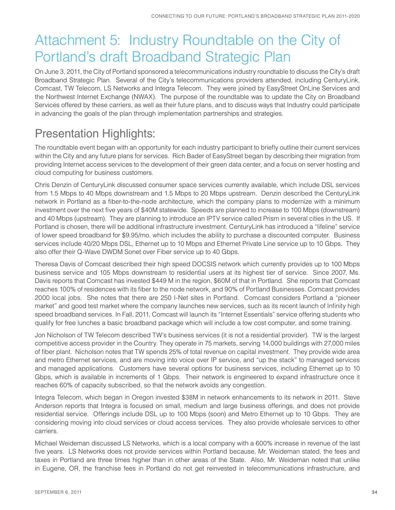# Attachment 5: Industry Roundtable on the City of Portland's draft Broadband Strategic Plan

On June 3, 2011, the City of Portland sponsored a telecommunications industry roundtable to discuss the City's draft Broadband Strategic Plan. Several of the City's telecommunications providers attended, including CenturyLink, Comcast, TW Telecom, LS Networks and Integra Telecom. They were joined by EasyStreet OnLine Services and the Northwest Internet Exchange (NWAX). The purpose of the roundtable was to update the City on Broadband Services offered by these carriers, as well as their future plans, and to discuss ways that Industry could participate in advancing the goals of the plan through implementation partnerships and strategies.

## Presentation Highlights:

The roundtable event began with an opportunity for each industry participant to briefly outline their current services within the City and any future plans for services. Rich Bader of EasyStreet began by describing their migration from providing Internet access services to the development of their green data center, and a focus on server hosting and cloud computing for business customers.

Chris Denzin of CenturyLink discussed consumer space services currently available, which include DSL services from 1.5 Mbps to 40 Mbps downstream and 1.5 Mbps to 20 Mbps upstream. Denzin described the CenturyLink network in Portland as a fiber-to-the-node architecture, which the company plans to modernize with a minimum investment over the next five years of \$40M statewide. Speeds are planned to increase to 100 Mbps (downstream) and 40 Mbps (upstream). They are planning to introduce an IPTV service called Prism in several cities in the US. If Portland is chosen, there will be additional infrastructure investment. CenturyLink has introduced a "lifeline" service of lower speed broadband for \$9.95/mo. which includes the ability to purchase a discounted computer. Business services include 40/20 Mbps DSL, Ethernet up to 10 Mbps and Ethernet Private Line service up to 10 Gbps. They also offer their Q-Wave DWDM Sonet over Fiber service up to 40 Gbps.

Theresa Davis of Comcast described their high speed DOCSIS network which currently provides up to 100 Mbps business service and 105 Mbps downstream to residential users at its highest tier of service. Since 2007, Ms. Davis reports that Comcast has invested \$449 M in the region, \$60M of that in Portland. She reports that Comcast reaches 100% of residences with its fiber to the node network, and 90% of Portland Businesses. Comcast provides 2000 local jobs. She notes that there are 250 I-Net sites in Portland. Comcast considers Portland a "pioneer market" and good test market where the company launches new services, such as its recent launch of Infinity high speed broadband services. In Fall, 2011, Comcast will launch its "Internet Essentials" service offering students who qualify for free lunches a basic broadband package which will include a low cost computer, and some training.

Jon Nicholson of TW Telecom described TW's business services (it is not a residential provider). TW is the largest competitive access provider in the Country. They operate in 75 markets, serving 14,000 buildings with 27,000 miles of fiber plant. Nicholson notes that TW spends 25% of total revenue on capital investment. They provide wide area and metro Ethernet services, and are moving into voice over IP service, and "up the stack" to managed services and managed applications. Customers have several options for business services, including Ethernet up to 10 Gbps, which is available in increments of 1 Gbps. Their network is engineered to expand infrastructure once it reaches 60% of capacity subscribed, so that the network avoids any congestion.

Integra Telecom, which began in Oregon invested \$38M in network enhancements to its network in 2011. Steve Anderson reports that Integra is focused on small, medium and large business offerings, and does not provide residential service. Offerings include DSL up to 100 Mbps (soon) and Metro Ethernet up to 10 Gbps. They are considering moving into cloud services or cloud access services. They also provide wholesale services to other carriers.

Michael Weideman discussed LS Networks, which is a local company with a 600% increase in revenue of the last five years. LS Networks does not provide services within Portland because, Mr. Weideman stated, the fees and taxes in Portland are three times higher than in other areas of the State. Also, Mr. Weideman noted that unlike in Eugene, OR, the franchise fees in Portland do not get reinvested in telecommunications infrastructure, and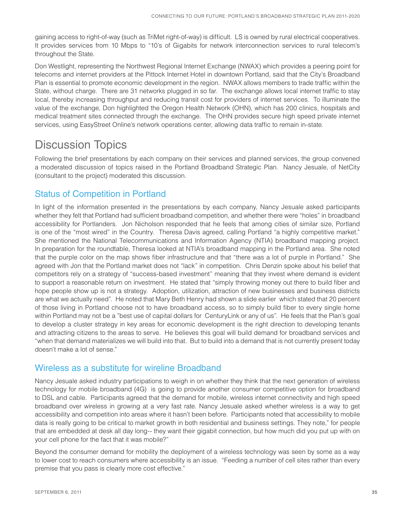gaining access to right-of-way (such as TriMet right-of-way) is difficult. LS is owned by rural electrical cooperatives. It provides services from 10 Mbps to "10's of Gigabits for network interconnection services to rural telecom's throughout the State.

Don Westlight, representing the Northwest Regional Internet Exchange (NWAX) which provides a peering point for telecoms and internet providers at the Pittock Internet Hotel in downtown Portland, said that the City's Broadband Plan is essential to promote economic development in the region. NWAX allows members to trade traffic within the State, without charge. There are 31 networks plugged in so far. The exchange allows local internet traffic to stay local, thereby increasing throughput and reducing transit cost for providers of internet services. To illuminate the value of the exchange, Don highlighted the Oregon Health Network (OHN), which has 200 clinics, hospitals and medical treatment sites connected through the exchange. The OHN provides secure high speed private internet services, using EasyStreet Online's network operations center, allowing data traffic to remain in-state.

## Discussion Topics

Following the brief presentations by each company on their services and planned services, the group convened a moderated discussion of topics raised in the Portland Broadband Strategic Plan. Nancy Jesuale, of NetCity (consultant to the project) moderated this discussion.

### Status of Competition in Portland

In light of the information presented in the presentations by each company, Nancy Jesuale asked participants whether they felt that Portland had sufficient broadband competition, and whether there were "holes" in broadband accessibility for Portlanders. Jon Nicholson responded that he feels that among cities of similar size, Portland is one of the "most wired" in the Country. Theresa Davis agreed, calling Portland "a highly competitive market." She mentioned the National Telecommunications and Information Agency (NTIA) broadband mapping project. In preparation for the roundtable, Theresa looked at NTIA's broadband mapping in the Portland area. She noted that the purple color on the map shows fiber infrastructure and that "there was a lot of purple in Portland." She agreed with Jon that the Portland market does not "lack" in competition. Chris Denzin spoke about his belief that competitors rely on a strategy of "success-based investment" meaning that they invest where demand is evident to support a reasonable return on investment. He stated that "simply throwing money out there to build fiber and hope people show up is not a strategy. Adoption, utilization, attraction of new businesses and business districts are what we actually need". He noted that Mary Beth Henry had shown a slide earlier which stated that 20 percent of those living in Portland choose not to have broadband access, so to simply build fiber to every single home within Portland may not be a "best use of capital dollars for CenturyLink or any of us". He feels that the Plan's goal to develop a cluster strategy in key areas for economic development is the right direction to developing tenants and attracting citizens to the areas to serve. He believes this goal will build demand for broadband services and "when that demand materializes we will build into that. But to build into a demand that is not currently present today doesn't make a lot of sense."

### Wireless as a substitute for wireline Broadband

Nancy Jesuale asked industry participations to weigh in on whether they think that the next generation of wireless technology for mobile broadband (4G) is going to provide another consumer competitive option for broadband to DSL and cable. Participants agreed that the demand for mobile, wireless internet connectivity and high speed broadband over wireless in growing at a very fast rate. Nancy Jesuale asked whether wireless is a way to get accessibility and competition into areas where it hasn't been before. Participants noted that accessibility to mobile data is really going to be critical to market growth in both residential and business settings. They note," for people that are embedded at desk all day long-- they want their gigabit connection, but how much did you put up with on your cell phone for the fact that it was mobile?"

Beyond the consumer demand for mobility the deployment of a wireless technology was seen by some as a way to lower cost to reach consumers where accessibility is an issue. "Feeding a number of cell sites rather than every premise that you pass is clearly more cost effective."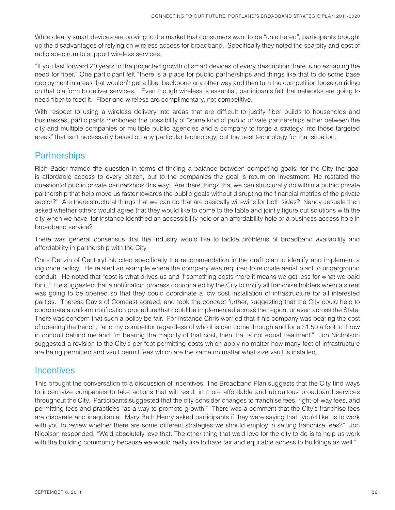While clearly smart devices are proving to the market that consumers want to be "untethered", participants brought up the disadvantages of relying on wireless access for broadband. Specifically they noted the scarcity and cost of radio spectrum to support wireless services.

"If you fast forward 20 years to the projected growth of smart devices of every description there is no escaping the need for fiber." One participant felt "there is a place for public partnerships and things like that to do some base deployment in areas that wouldn't get a fiber backbone any other way and then turn the competition loose on riding on that platform to deliver services." Even though wireless is essential, participants felt that networks are going to need fiber to feed it. Fiber and wireless are complimentary, not competitive.

With respect to using a wireless delivery into areas that are difficult to justify fiber builds to households and businesses, participants mentioned the possibility of "some kind of public private partnerships either between the city and multiple companies or multiple public agencies and a company to forge a strategy into those targeted areas" that isn't necessarily based on any particular technology, but the best technology for that situation.

### **Partnerships**

Rich Bader framed the question in terms of finding a balance between competing goals; for the City the goal is affordable access to every citizen, but to the companies the goal is return on investment. He restated the question of public private partnerships this way; "Are there things that we can structurally do within a public private partnership that help move us faster towards the public goals without disrupting the financial metrics of the private sector?" Are there structural things that we can do that are basically win-wins for both sides? Nancy Jesuale then asked whether others would agree that they would like to come to the table and jointly figure out solutions with the city when we have, for instance identified an accessibility hole or an affordability hole or a business access hole in broadband service?

There was general consensus that the Industry would like to tackle problems of broadband availability and affordability in partnership with the City.

Chris Denzin of CenturyLink cited specifically the recommendation in the draft plan to identify and implement a dig once policy. He related an example where the company was required to relocate aerial plant to underground conduit. He noted that "cost is what drives us and if something costs more it means we get less for what we paid for it." He suggested that a notification process coordinated by the City to notify all franchise holders when a street was going to be opened so that they could coordinate a low cost installation of infrastructure for all interested parties. Theresa Davis of Comcast agreed, and took the concept further, suggesting that the City could help to coordinate a uniform notification procedure that could be implemented across the region, or even across the State. There was concern that such a policy be fair. For instance Chris worried that if his company was bearing the cost of opening the trench, "and my competitor regardless of who it is can come through and for a \$1.50 a foot to throw in conduit behind me and I'm bearing the majority of that cost, then that is not equal treatment." Jon Nicholson suggested a revision to the City's per foot permitting costs which apply no matter how many feet of infrastructure are being permitted and vault permit fees which are the same no matter what size vault is installed.

### **Incentives**

This brought the conversation to a discussion of incentives. The Broadband Plan suggests that the City find ways to incentivize companies to take actions that will result in more affordable and ubiquitous broadband services throughout the City. Participants suggested that the city consider changes to franchise fees, right-of-way fees, and permitting fees and practices "as a way to promote growth." There was a comment that the City's franchise fees are disparate and inequitable. Mary Beth Henry asked participants if they were saying that "you'd like us to work with you to review whether there are some different strategies we should employ in setting franchise fees?" Jon Nicolson responded, "We'd absolutely love that. The other thing that we'd love for the city to do is to help us work with the building community because we would really like to have fair and equitable access to buildings as well."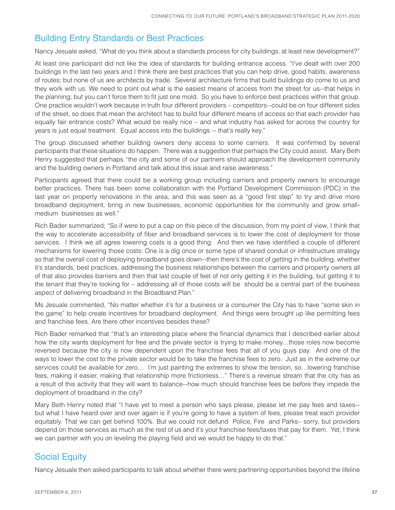### Building Entry Standards or Best Practices

Nancy Jesuale asked, "What do you think about a standards process for city buildings, at least new development?"

At least one participant did not like the idea of standards for building entrance access. "I've dealt with over 200 buildings in the last two years and I think there are best practices that you can help drive, good habits, awareness of routes; but none of us are architects by trade. Several architecture firms that build buildings do come to us and they work with us. We need to point out what is the easiest means of access from the street for us--that helps in the planning; but you can't force them to fit just one mold. So you have to enforce best practices within that group. One practice wouldn't work because in truth four different providers – competitors--could be on four different sides of the street, so does that mean the architect has to build four different means of access so that each provider has equally fair entrance costs? What would be really nice – and what industry has asked for across the country for years is just equal treatment. Equal access into the buildings -- that's really key."

The group discussed whether building owners deny access to some carriers. It was confirmed by several participants that these situations do happen. There was a suggestion that perhaps the City could assist. Mary Beth Henry suggested that perhaps "the city and some of our partners should approach the development community and the building owners in Portland and talk about this issue and raise awareness."

Participants agreed that there could be a working group including carriers and property owners to encourage better practices. There has been some collaboration with the Portland Development Commission (PDC) in the last year on property renovations in the area, and this was seen as a "good first step" to try and drive more broadband deployment, bring in new businesses, economic opportunities for the community and grow smallmedium businesses as well."

Rich Bader summarized; "So if were to put a cap on this piece of the discussion, from my point of view, I think that the way to accelerate accessibility of fiber and broadband services is to lower the cost of deployment for those services. I think we all agree lowering costs is a good thing. And then we have identified a couple of different mechanisms for lowering those costs: One is a dig once or some type of shared conduit or infrastructure strategy so that the overall cost of deploying broadband goes down--then there's the cost of getting in the building, whether it's standards, best practices, addressing the business relationships between the carriers and property owners all of that also provides barriers and then that last couple of feet of not only getting it in the building, but getting it to the tenant that they're looking for – addressing all of those costs will be should be a central part of the business aspect of delivering broadband in the Broadband Plan."

Ms Jesuale commented, "No matter whether it's for a business or a consumer the City has to have "some skin in the game" to help create incentives for broadband deployment. And things were brought up like permitting fees and franchise fees. Are there other incentives besides these?

Rich Bader remarked that "that's an interesting place where the financial dynamics that I described earlier about how the city wants deployment for free and the private sector is trying to make money…those roles now become reversed because the city is now dependent upon the franchise fees that all of you guys pay. And one of the ways to lower the cost to the private sector would be to take the franchise fees to zero. Just as in the extreme our services could be available for zero... I'm just painting the extremes to show the tension, so... lowering franchise fees, making it easier, making that relationship more frictionless…" There's a revenue stream that the city has as a result of this activity that they will want to balance--how much should franchise fees be before they impede the deployment of broadband in the city?

Mary Beth Henry noted that "I have yet to meet a person who says please, please let me pay fees and taxes- but what I have heard over and over again is if you're going to have a system of fees, please treat each provider equitably. That we can get behind 100%. But we could not defund Police, Fire and Parks– sorry, but providers depend on those services as much as the rest of us and it's your franchise fees/taxes that pay for them. Yet, I think we can partner with you on leveling the playing field and we would be happy to do that."

### Social Equity

Nancy Jesuale then asked participants to talk about whether there were partnering opportunities beyond the lifeline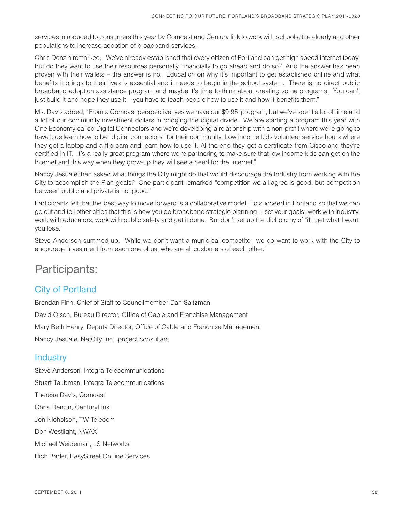services introduced to consumers this year by Comcast and Century link to work with schools, the elderly and other populations to increase adoption of broadband services.

Chris Denzin remarked, "We've already established that every citizen of Portland can get high speed internet today, but do they want to use their resources personally, financially to go ahead and do so? And the answer has been proven with their wallets – the answer is no. Education on why it's important to get established online and what benefits it brings to their lives is essential and it needs to begin in the school system. There is no direct public broadband adoption assistance program and maybe it's time to think about creating some programs. You can't just build it and hope they use it – you have to teach people how to use it and how it benefits them."

Ms. Davis added, "From a Comcast perspective, yes we have our \$9.95 program, but we've spent a lot of time and a lot of our community investment dollars in bridging the digital divide. We are starting a program this year with One Economy called Digital Connectors and we're developing a relationship with a non-profit where we're going to have kids learn how to be "digital connectors" for their community. Low income kids volunteer service hours where they get a laptop and a flip cam and learn how to use it. At the end they get a certificate from Cisco and they're certified in IT. It's a really great program where we're partnering to make sure that low income kids can get on the Internet and this way when they grow-up they will see a need for the Internet."

Nancy Jesuale then asked what things the City might do that would discourage the Industry from working with the City to accomplish the Plan goals? One participant remarked "competition we all agree is good, but competition between public and private is not good."

Participants felt that the best way to move forward is a collaborative model; "to succeed in Portland so that we can go out and tell other cities that this is how you do broadband strategic planning -- set your goals, work with industry, work with educators, work with public safety and get it done. But don't set up the dichotomy of "if I get what I want, you lose."

Steve Anderson summed up. "While we don't want a municipal competitor, we do want to work with the City to encourage investment from each one of us, who are all customers of each other."

### Participants:

### City of Portland

Brendan Finn, Chief of Staff to Councilmember Dan Saltzman David Olson, Bureau Director, Office of Cable and Franchise Management Mary Beth Henry, Deputy Director, Office of Cable and Franchise Management Nancy Jesuale, NetCity Inc., project consultant

### **Industry**

Steve Anderson, Integra Telecommunications Stuart Taubman, Integra Telecommunications Theresa Davis, Comcast Chris Denzin, CenturyLink Jon Nicholson, TW Telecom Don Westlight, NWAX Michael Weideman, LS Networks Rich Bader, EasyStreet OnLine Services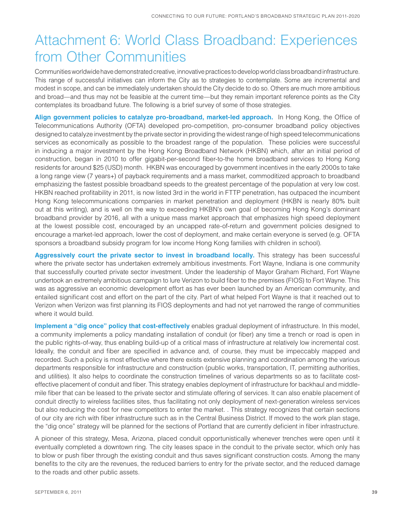# Attachment 6: World Class Broadband: Experiences from Other Communities

Communities worldwide have demonstrated creative, innovative practices to develop world class broadband infrastructure. This range of successful initiatives can inform the City as to strategies to contemplate. Some are incremental and modest in scope, and can be immediately undertaken should the City decide to do so. Others are much more ambitious and broad—and thus may not be feasible at the current time—but they remain important reference points as the City contemplates its broadband future. The following is a brief survey of some of those strategies.

Align government policies to catalyze pro-broadband, market-led approach. In Hong Kong, the Office of Telecommunications Authority (OFTA) developed pro-competition, pro-consumer broadband policy objectives designed to catalyze investment by the private sector in providing the widest range of high speed telecommunications services as economically as possible to the broadest range of the population. These policies were successful in inducing a major investment by the Hong Kong Broadband Network (HKBN) which, after an initial period of construction, began in 2010 to offer gigabit-per-second fiber-to-the home broadband services to Hong Kong residents for around \$25 (USD) month. HKBN was encouraged by government incentives in the early 2000s to take a long range view (7 years+) of payback requirements and a mass market, commoditized approach to broadband emphasizing the fastest possible broadband speeds to the greatest percentage of the population at very low cost. HKBN reached profitability in 2011, is now listed 3rd in the world in FTTP penetration, has outpaced the incumbent Hong Kong telecommunications companies in market penetration and deployment (HKBN is nearly 80% built out at this writing), and is well on the way to exceeding HKBN's own goal of becoming Hong Kong's dominant broadband provider by 2016, all with a unique mass market approach that emphasizes high speed deployment at the lowest possible cost, encouraged by an uncapped rate-of-return and government policies designed to encourage a market-led approach, lower the cost of deployment, and make certain everyone is served (e.g. OFTA sponsors a broadband subsidy program for low income Hong Kong families with children in school).

**Aggressively court the private sector to invest in broadband locally.** This strategy has been successful where the private sector has undertaken extremely ambitious investments. Fort Wayne, Indiana is one community that successfully courted private sector investment. Under the leadership of Mayor Graham Richard, Fort Wayne undertook an extremely ambitious campaign to lure Verizon to build fiber to the premises (FIOS) to Fort Wayne. This was as aggressive an economic development effort as has ever been launched by an American community, and entailed significant cost and effort on the part of the city. Part of what helped Fort Wayne is that it reached out to Verizon when Verizon was first planning its FIOS deployments and had not yet narrowed the range of communities where it would build.

**Implement a "dig once" policy that cost-effectively** enables gradual deployment of infrastructure. In this model, a community implements a policy mandating installation of conduit (or fiber) any time a trench or road is open in the public rights-of-way, thus enabling build-up of a critical mass of infrastructure at relatively low incremental cost. Ideally, the conduit and fiber are specified in advance and, of course, they must be impeccably mapped and recorded. Such a policy is most effective where there exists extensive planning and coordination among the various departments responsible for infrastructure and construction (public works, transportation, IT, permitting authorities, and utilities). It also helps to coordinate the construction timelines of various departments so as to facilitate costeffective placement of conduit and fiber. This strategy enables deployment of infrastructure for backhaul and middlemile fiber that can be leased to the private sector and stimulate offering of services. It can also enable placement of conduit directly to wireless facilities sites, thus facilitating not only deployment of next-generation wireless services but also reducing the cost for new competitors to enter the market. . This strategy recognizes that certain sections of our city are rich with fiber infrastructure such as in the Central Business District. If moved to the work plan stage, the "dig once" strategy will be planned for the sections of Portland that are currently deficient in fiber infrastructure.

A pioneer of this strategy, Mesa, Arizona, placed conduit opportunistically whenever trenches were open until it eventually completed a downtown ring. The city leases space in the conduit to the private sector, which only has to blow or push fiber through the existing conduit and thus saves significant construction costs. Among the many benefits to the city are the revenues, the reduced barriers to entry for the private sector, and the reduced damage to the roads and other public assets.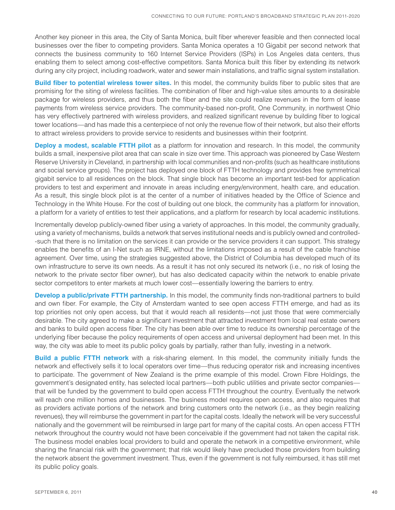Another key pioneer in this area, the City of Santa Monica, built fiber wherever feasible and then connected local businesses over the fiber to competing providers. Santa Monica operates a 10 Gigabit per second network that connects the business community to 160 Internet Service Providers (ISPs) in Los Angeles data centers, thus enabling them to select among cost-effective competitors. Santa Monica built this fiber by extending its network during any city project, including roadwork, water and sewer main installations, and traffic signal system installation.

**Build fiber to potential wireless tower sites.** In this model, the community builds fiber to public sites that are promising for the siting of wireless facilities. The combination of fiber and high-value sites amounts to a desirable package for wireless providers, and thus both the fiber and the site could realize revenues in the form of lease payments from wireless service providers. The community-based non-profit, One Community, in northwest Ohio has very effectively partnered with wireless providers, and realized significant revenue by building fiber to logical tower locations—and has made this a centerpiece of not only the revenue flow of their network, but also their efforts to attract wireless providers to provide service to residents and businesses within their footprint.

**Deploy a modest, scalable FTTH pilot** as a platform for innovation and research. In this model, the community builds a small, inexpensive pilot area that can scale in size over time. This approach was pioneered by Case Western Reserve University in Cleveland, in partnership with local communities and non-profits (such as healthcare institutions and social service groups). The project has deployed one block of FTTH technology and provides free symmetrical gigabit service to all residences on the block. That single block has become an important test-bed for application providers to test and experiment and innovate in areas including energy/environment, health care, and education. As a result, this single block pilot is at the center of a number of initiatives headed by the Office of Science and Technology in the White House. For the cost of building out one block, the community has a platform for innovation, a platform for a variety of entities to test their applications, and a platform for research by local academic institutions.

Incrementally develop publicly-owned fiber using a variety of approaches. In this model, the community gradually, using a variety of mechanisms, builds a network that serves institutional needs and is publicly owned and controlled- -such that there is no limitation on the services it can provide or the service providers it can support. This strategy enables the benefits of an I-Net such as IRNE, without the limitations imposed as a result of the cable franchise agreement. Over time, using the strategies suggested above, the District of Columbia has developed much of its own infrastructure to serve its own needs. As a result it has not only secured its network (i.e., no risk of losing the network to the private sector fiber owner), but has also dedicated capacity within the network to enable private sector competitors to enter markets at much lower cost—essentially lowering the barriers to entry.

**Develop a public/private FTTH partnership.** In this model, the community finds non-traditional partners to build and own fiber. For example, the City of Amsterdam wanted to see open access FTTH emerge, and had as its top priorities not only open access, but that it would reach all residents—not just those that were commercially desirable. The city agreed to make a significant investment that attracted investment from local real estate owners and banks to build open access fiber. The city has been able over time to reduce its ownership percentage of the underlying fiber because the policy requirements of open access and universal deployment had been met. In this way, the city was able to meet its public policy goals by partially, rather than fully, investing in a network.

**Build a public FTTH network** with a risk-sharing element. In this model, the community initially funds the network and effectively sells it to local operators over time—thus reducing operator risk and increasing incentives to participate. The government of New Zealand is the prime example of this model. Crown Fibre Holdings, the government's designated entity, has selected local partners—both public utilities and private sector companies that will be funded by the government to build open access FTTH throughout the country. Eventually the network will reach one million homes and businesses. The business model requires open access, and also requires that as providers activate portions of the network and bring customers onto the network (i.e., as they begin realizing revenues), they will reimburse the government in part for the capital costs. Ideally the network will be very successful nationally and the government will be reimbursed in large part for many of the capital costs. An open access FTTH network throughout the country would not have been conceivable if the government had not taken the capital risk. The business model enables local providers to build and operate the network in a competitive environment, while sharing the financial risk with the government; that risk would likely have precluded those providers from building the network absent the government investment. Thus, even if the government is not fully reimbursed, it has still met its public policy goals.